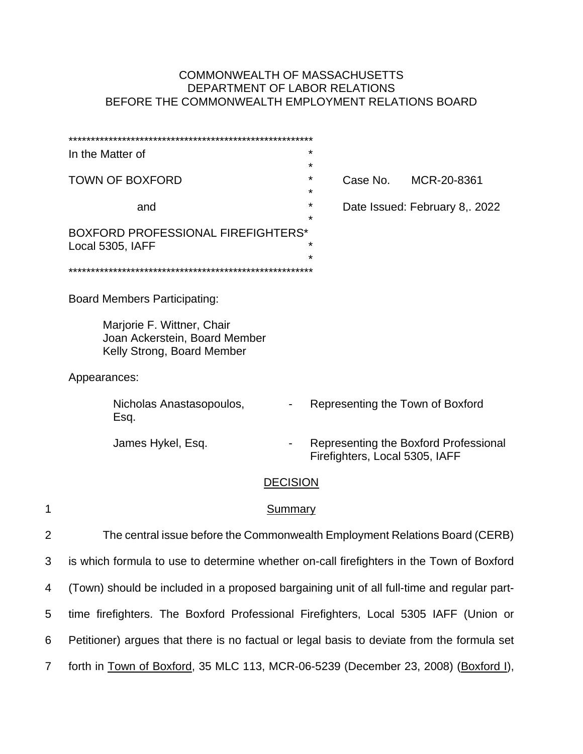# COMMONWEALTH OF MASSACHUSETTS DEPARTMENT OF LABOR RELATIONS BEFORE THE COMMONWEALTH EMPLOYMENT RELATIONS BOARD

|                | In the Matter of                                                                           | *                        |                                |                                       |  |
|----------------|--------------------------------------------------------------------------------------------|--------------------------|--------------------------------|---------------------------------------|--|
|                | <b>TOWN OF BOXFORD</b>                                                                     | $^\star$<br>*<br>$\star$ | Case No.                       | MCR-20-8361                           |  |
|                | and                                                                                        | *<br>*                   |                                | Date Issued: February 8, 2022         |  |
|                | BOXFORD PROFESSIONAL FIREFIGHTERS*<br>Local 5305, IAFF                                     | *<br>*                   |                                |                                       |  |
|                |                                                                                            |                          |                                |                                       |  |
|                | <b>Board Members Participating:</b>                                                        |                          |                                |                                       |  |
|                | Marjorie F. Wittner, Chair<br>Joan Ackerstein, Board Member<br>Kelly Strong, Board Member  |                          |                                |                                       |  |
|                | Appearances:                                                                               |                          |                                |                                       |  |
|                | Nicholas Anastasopoulos,<br>Esq.                                                           |                          |                                | Representing the Town of Boxford      |  |
|                | James Hykel, Esq.                                                                          |                          | Firefighters, Local 5305, IAFF | Representing the Boxford Professional |  |
|                | <b>DECISION</b>                                                                            |                          |                                |                                       |  |
| 1              | Summary                                                                                    |                          |                                |                                       |  |
| $\overline{2}$ | The central issue before the Commonwealth Employment Relations Board (CERB)                |                          |                                |                                       |  |
| 3              | is which formula to use to determine whether on-call firefighters in the Town of Boxford   |                          |                                |                                       |  |
| 4              | (Town) should be included in a proposed bargaining unit of all full-time and regular part- |                          |                                |                                       |  |
| 5              | time firefighters. The Boxford Professional Firefighters, Local 5305 IAFF (Union or        |                          |                                |                                       |  |
| 6              | Petitioner) argues that there is no factual or legal basis to deviate from the formula set |                          |                                |                                       |  |
| $\overline{7}$ | forth in Town of Boxford, 35 MLC 113, MCR-06-5239 (December 23, 2008) (Boxford I),         |                          |                                |                                       |  |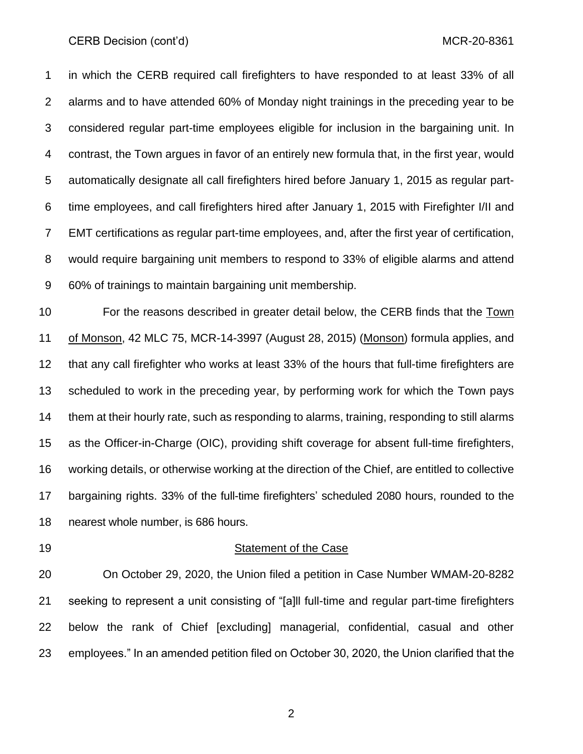#### CERB Decision (cont'd) and the control of the control of the control of the control of the control of the control of the control of the control of the control of the control of the control of the control of the control of

 in which the CERB required call firefighters to have responded to at least 33% of all alarms and to have attended 60% of Monday night trainings in the preceding year to be considered regular part-time employees eligible for inclusion in the bargaining unit. In contrast, the Town argues in favor of an entirely new formula that, in the first year, would automatically designate all call firefighters hired before January 1, 2015 as regular part- time employees, and call firefighters hired after January 1, 2015 with Firefighter I/II and EMT certifications as regular part-time employees, and, after the first year of certification, would require bargaining unit members to respond to 33% of eligible alarms and attend 60% of trainings to maintain bargaining unit membership.

 For the reasons described in greater detail below, the CERB finds that the Town of Monson, 42 MLC 75, MCR-14-3997 (August 28, 2015) (Monson) formula applies, and that any call firefighter who works at least 33% of the hours that full-time firefighters are scheduled to work in the preceding year, by performing work for which the Town pays them at their hourly rate, such as responding to alarms, training, responding to still alarms as the Officer-in-Charge (OIC), providing shift coverage for absent full-time firefighters, working details, or otherwise working at the direction of the Chief, are entitled to collective bargaining rights. 33% of the full-time firefighters' scheduled 2080 hours, rounded to the nearest whole number, is 686 hours.

#### 19 Statement of the Case

 On October 29, 2020, the Union filed a petition in Case Number WMAM-20-8282 seeking to represent a unit consisting of "[a]ll full-time and regular part-time firefighters below the rank of Chief [excluding] managerial, confidential, casual and other employees." In an amended petition filed on October 30, 2020, the Union clarified that the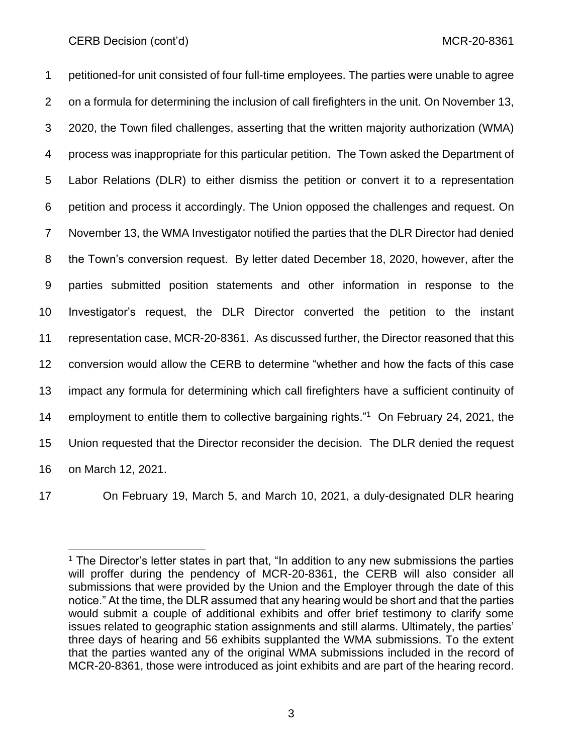petitioned-for unit consisted of four full-time employees. The parties were unable to agree on a formula for determining the inclusion of call firefighters in the unit. On November 13, 2020, the Town filed challenges, asserting that the written majority authorization (WMA) process was inappropriate for this particular petition. The Town asked the Department of Labor Relations (DLR) to either dismiss the petition or convert it to a representation petition and process it accordingly. The Union opposed the challenges and request. On November 13, the WMA Investigator notified the parties that the DLR Director had denied the Town's conversion request. By letter dated December 18, 2020, however, after the parties submitted position statements and other information in response to the Investigator's request, the DLR Director converted the petition to the instant representation case, MCR-20-8361. As discussed further, the Director reasoned that this conversion would allow the CERB to determine "whether and how the facts of this case impact any formula for determining which call firefighters have a sufficient continuity of 14 employment to entitle them to collective bargaining rights."<sup>1</sup> On February 24, 2021, the Union requested that the Director reconsider the decision. The DLR denied the request on March 12, 2021.

On February 19, March 5, and March 10, 2021, a duly-designated DLR hearing

 $<sup>1</sup>$  The Director's letter states in part that, "In addition to any new submissions the parties</sup> will proffer during the pendency of MCR-20-8361, the CERB will also consider all submissions that were provided by the Union and the Employer through the date of this notice." At the time, the DLR assumed that any hearing would be short and that the parties would submit a couple of additional exhibits and offer brief testimony to clarify some issues related to geographic station assignments and still alarms. Ultimately, the parties' three days of hearing and 56 exhibits supplanted the WMA submissions. To the extent that the parties wanted any of the original WMA submissions included in the record of MCR-20-8361, those were introduced as joint exhibits and are part of the hearing record.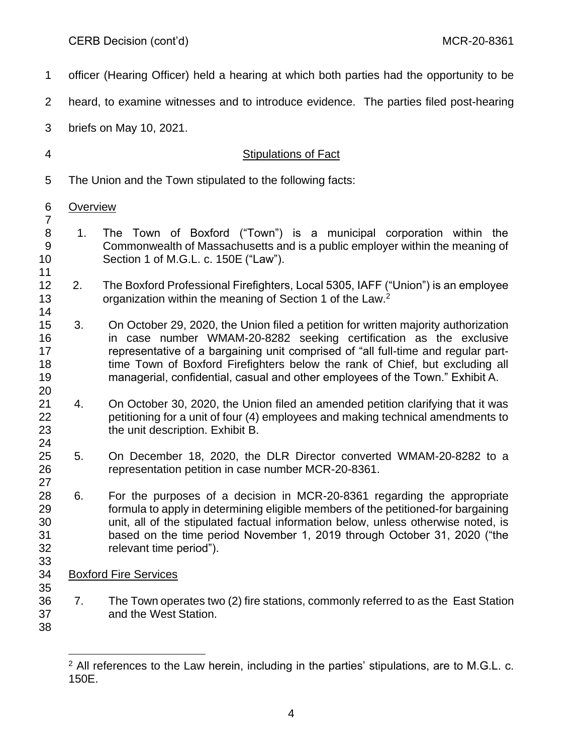| 1                                |                 | officer (Hearing Officer) held a hearing at which both parties had the opportunity to be                                                                                                                                                                                                                                                                                                                       |
|----------------------------------|-----------------|----------------------------------------------------------------------------------------------------------------------------------------------------------------------------------------------------------------------------------------------------------------------------------------------------------------------------------------------------------------------------------------------------------------|
| 2                                |                 | heard, to examine witnesses and to introduce evidence. The parties filed post-hearing                                                                                                                                                                                                                                                                                                                          |
| 3                                |                 | briefs on May 10, 2021.                                                                                                                                                                                                                                                                                                                                                                                        |
| 4                                |                 | <b>Stipulations of Fact</b>                                                                                                                                                                                                                                                                                                                                                                                    |
| 5                                |                 | The Union and the Town stipulated to the following facts:                                                                                                                                                                                                                                                                                                                                                      |
| 6                                | <b>Overview</b> |                                                                                                                                                                                                                                                                                                                                                                                                                |
| $\overline{7}$<br>8<br>9<br>10   | 1.              | The Town of Boxford ("Town") is a municipal corporation within the<br>Commonwealth of Massachusetts and is a public employer within the meaning of<br>Section 1 of M.G.L. c. 150E ("Law").                                                                                                                                                                                                                     |
| 11<br>12<br>13<br>14             | 2.              | The Boxford Professional Firefighters, Local 5305, IAFF ("Union") is an employee<br>organization within the meaning of Section 1 of the Law. <sup>2</sup>                                                                                                                                                                                                                                                      |
| 15<br>16<br>17<br>18<br>19<br>20 | 3.              | On October 29, 2020, the Union filed a petition for written majority authorization<br>in case number WMAM-20-8282 seeking certification as the exclusive<br>representative of a bargaining unit comprised of "all full-time and regular part-<br>time Town of Boxford Firefighters below the rank of Chief, but excluding all<br>managerial, confidential, casual and other employees of the Town." Exhibit A. |
| 21<br>22<br>23<br>24             | 4.              | On October 30, 2020, the Union filed an amended petition clarifying that it was<br>petitioning for a unit of four (4) employees and making technical amendments to<br>the unit description. Exhibit B.                                                                                                                                                                                                         |
| 25<br>26<br>27                   | 5.              | On December 18, 2020, the DLR Director converted WMAM-20-8282 to a<br>representation petition in case number MCR-20-8361.                                                                                                                                                                                                                                                                                      |
| 28<br>29<br>30<br>31<br>32<br>33 | 6.              | For the purposes of a decision in MCR-20-8361 regarding the appropriate<br>formula to apply in determining eligible members of the petitioned-for bargaining<br>unit, all of the stipulated factual information below, unless otherwise noted, is<br>based on the time period November 1, 2019 through October 31, 2020 ("the<br>relevant time period").                                                       |
| 34                               |                 | <b>Boxford Fire Services</b>                                                                                                                                                                                                                                                                                                                                                                                   |
| 35<br>36<br>37<br>38             | 7.              | The Town operates two (2) fire stations, commonly referred to as the East Station<br>and the West Station.                                                                                                                                                                                                                                                                                                     |
|                                  |                 |                                                                                                                                                                                                                                                                                                                                                                                                                |

 All references to the Law herein, including in the parties' stipulations, are to M.G.L. c. 150E.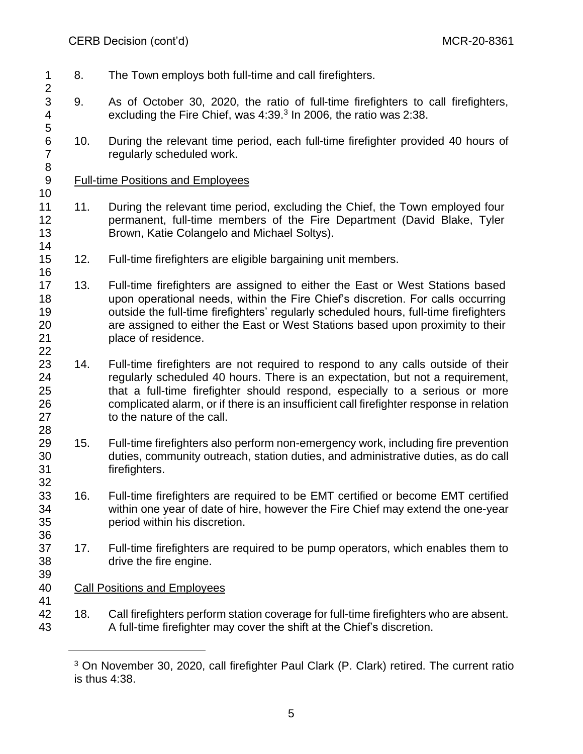- 8. The Town employs both full-time and call firefighters.
- 9. As of October 30, 2020, the ratio of full-time firefighters to call firefighters, 4 excluding the Fire Chief, was 4:39.<sup>3</sup> In 2006, the ratio was 2:38.
- 10. During the relevant time period, each full-time firefighter provided 40 hours of regularly scheduled work.

# 9 Full-time Positions and Employees

- 11 11. During the relevant time period, excluding the Chief, the Town employed four permanent, full-time members of the Fire Department (David Blake, Tyler Brown, Katie Colangelo and Michael Soltys).
- 12. Full-time firefighters are eligible bargaining unit members.
- 13. Full-time firefighters are assigned to either the East or West Stations based upon operational needs, within the Fire Chief's discretion. For calls occurring outside the full-time firefighters' regularly scheduled hours, full-time firefighters are assigned to either the East or West Stations based upon proximity to their place of residence.
- 23 14. Full-time firefighters are not required to respond to any calls outside of their regularly scheduled 40 hours. There is an expectation, but not a requirement, that a full-time firefighter should respond, especially to a serious or more complicated alarm, or if there is an insufficient call firefighter response in relation to the nature of the call.
- 15. Full-time firefighters also perform non-emergency work, including fire prevention duties, community outreach, station duties, and administrative duties, as do call firefighters.
- 16. Full-time firefighters are required to be EMT certified or become EMT certified within one year of date of hire, however the Fire Chief may extend the one-year period within his discretion.
- 17. Full-time firefighters are required to be pump operators, which enables them to drive the fire engine.
- Call Positions and Employees
- 18. Call firefighters perform station coverage for full-time firefighters who are absent. A full-time firefighter may cover the shift at the Chief's discretion.

<sup>&</sup>lt;sup>3</sup> On November 30, 2020, call firefighter Paul Clark (P. Clark) retired. The current ratio is thus 4:38.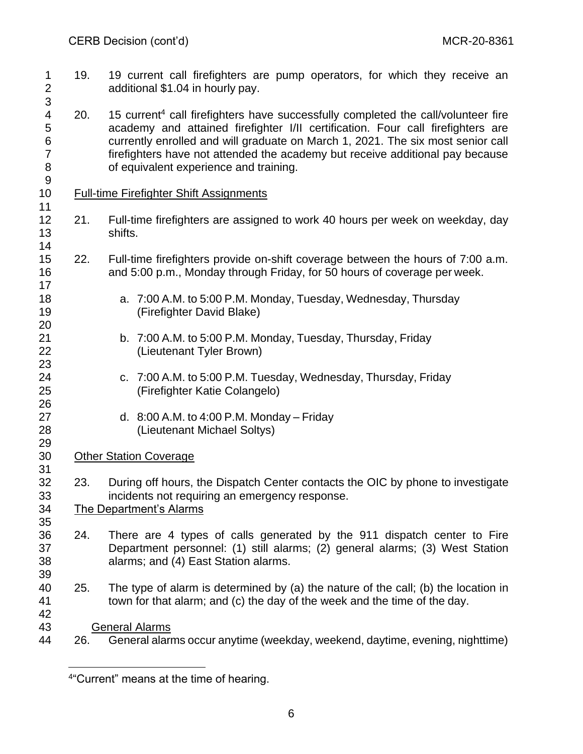- 1 19. 19 current call firefighters are pump operators, for which they receive an additional \$1.04 in hourly pay.
- 4 20. 15 current<sup>4</sup> call firefighters have successfully completed the call/volunteer fire academy and attained firefighter I/II certification. Four call firefighters are currently enrolled and will graduate on March 1, 2021. The six most senior call firefighters have not attended the academy but receive additional pay because of equivalent experience and training.
- Full-time Firefighter Shift Assignments

- 21. Full-time firefighters are assigned to work 40 hours per week on weekday, day shifts.
- 22. Full-time firefighters provide on-shift coverage between the hours of 7:00 a.m. and 5:00 p.m., Monday through Friday, for 50 hours of coverage per week.
- a. 7:00 A.M. to 5:00 P.M. Monday, Tuesday, Wednesday, Thursday (Firefighter David Blake)
- b. 7:00 A.M. to 5:00 P.M. Monday, Tuesday, Thursday, Friday (Lieutenant Tyler Brown)
- c. 7:00 A.M. to 5:00 P.M. Tuesday, Wednesday, Thursday, Friday (Firefighter Katie Colangelo)
- d. 8:00 A.M. to 4:00 P.M. Monday Friday (Lieutenant Michael Soltys)
- Other Station Coverage
- 23. During off hours, the Dispatch Center contacts the OIC by phone to investigate incidents not requiring an emergency response.

The Department's Alarms

- 24. There are 4 types of calls generated by the 911 dispatch center to Fire Department personnel: (1) still alarms; (2) general alarms; (3) West Station alarms; and (4) East Station alarms.
- 25. The type of alarm is determined by (a) the nature of the call; (b) the location in town for that alarm; and (c) the day of the week and the time of the day.
- General Alarms
- 26. General alarms occur anytime (weekday, weekend, daytime, evening, nighttime)

"Current" means at the time of hearing.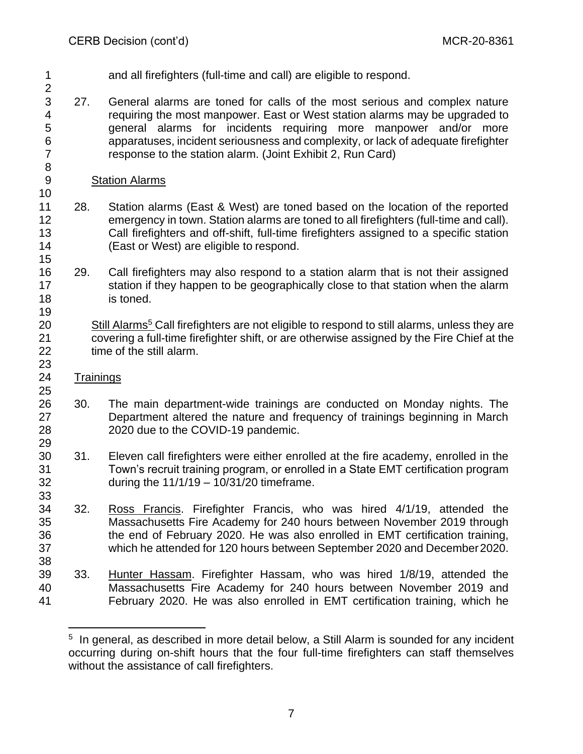- and all firefighters (full-time and call) are eligible to respond.
	-

- 27. General alarms are toned for calls of the most serious and complex nature requiring the most manpower. East or West station alarms may be upgraded to general alarms for incidents requiring more manpower and/or more apparatuses, incident seriousness and complexity, or lack of adequate firefighter response to the station alarm. (Joint Exhibit 2, Run Card)
- Station Alarms
- 28. Station alarms (East & West) are toned based on the location of the reported emergency in town. Station alarms are toned to all firefighters (full-time and call). Call firefighters and off-shift, full-time firefighters assigned to a specific station (East or West) are eligible to respond.
- 29. Call firefighters may also respond to a station alarm that is not their assigned 17 station if they happen to be geographically close to that station when the alarm is toned.
- 20 Still Alarms<sup>5</sup> Call firefighters are not eligible to respond to still alarms, unless they are covering a full-time firefighter shift, or are otherwise assigned by the Fire Chief at the time of the still alarm.
- Trainings
- 30. The main department-wide trainings are conducted on Monday nights. The Department altered the nature and frequency of trainings beginning in March 2020 due to the COVID-19 pandemic.
- 31. Eleven call firefighters were either enrolled at the fire academy, enrolled in the Town's recruit training program, or enrolled in a State EMT certification program during the 11/1/19 – 10/31/20 timeframe.
- 32. Ross Francis. Firefighter Francis, who was hired 4/1/19, attended the Massachusetts Fire Academy for 240 hours between November 2019 through the end of February 2020. He was also enrolled in EMT certification training, which he attended for 120 hours between September 2020 and December2020.
- 33. Hunter Hassam. Firefighter Hassam, who was hired 1/8/19, attended the Massachusetts Fire Academy for 240 hours between November 2019 and February 2020. He was also enrolled in EMT certification training, which he

<sup>&</sup>lt;sup>5</sup> In general, as described in more detail below, a Still Alarm is sounded for any incident occurring during on-shift hours that the four full-time firefighters can staff themselves without the assistance of call firefighters.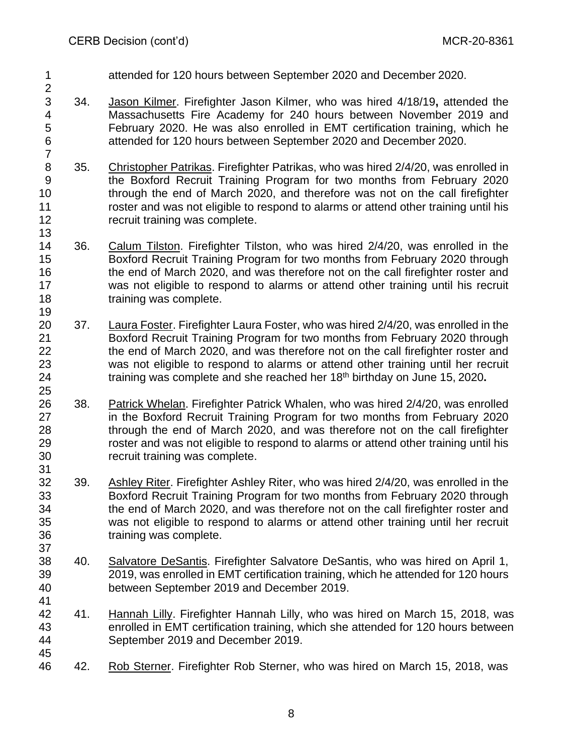attended for 120 hours between September 2020 and December 2020.

- 34. Jason Kilmer. Firefighter Jason Kilmer, who was hired 4/18/19**,** attended the Massachusetts Fire Academy for 240 hours between November 2019 and February 2020. He was also enrolled in EMT certification training, which he attended for 120 hours between September 2020 and December 2020.
- 8 35. Christopher Patrikas. Firefighter Patrikas, who was hired 2/4/20, was enrolled in the Boxford Recruit Training Program for two months from February 2020 through the end of March 2020, and therefore was not on the call firefighter roster and was not eligible to respond to alarms or attend other training until his recruit training was complete.
- 36. Calum Tilston. Firefighter Tilston, who was hired 2/4/20, was enrolled in the Boxford Recruit Training Program for two months from February 2020 through 16 the end of March 2020, and was therefore not on the call firefighter roster and was not eligible to respond to alarms or attend other training until his recruit training was complete.
- 37. Laura Foster. Firefighter Laura Foster, who was hired 2/4/20, was enrolled in the Boxford Recruit Training Program for two months from February 2020 through the end of March 2020, and was therefore not on the call firefighter roster and was not eligible to respond to alarms or attend other training until her recruit 24 training was complete and she reached her 18<sup>th</sup> birthday on June 15, 2020.
- 38. Patrick Whelan. Firefighter Patrick Whalen, who was hired 2/4/20, was enrolled in the Boxford Recruit Training Program for two months from February 2020 through the end of March 2020, and was therefore not on the call firefighter roster and was not eligible to respond to alarms or attend other training until his recruit training was complete.
- 39. Ashley Riter. Firefighter Ashley Riter, who was hired 2/4/20, was enrolled in the Boxford Recruit Training Program for two months from February 2020 through the end of March 2020, and was therefore not on the call firefighter roster and was not eligible to respond to alarms or attend other training until her recruit training was complete.
- 40. Salvatore DeSantis. Firefighter Salvatore DeSantis, who was hired on April 1, 2019, was enrolled in EMT certification training, which he attended for 120 hours between September 2019 and December 2019.
- 41. Hannah Lilly. Firefighter Hannah Lilly, who was hired on March 15, 2018, was enrolled in EMT certification training, which she attended for 120 hours between September 2019 and December 2019.
- 42. Rob Sterner. Firefighter Rob Sterner, who was hired on March 15, 2018, was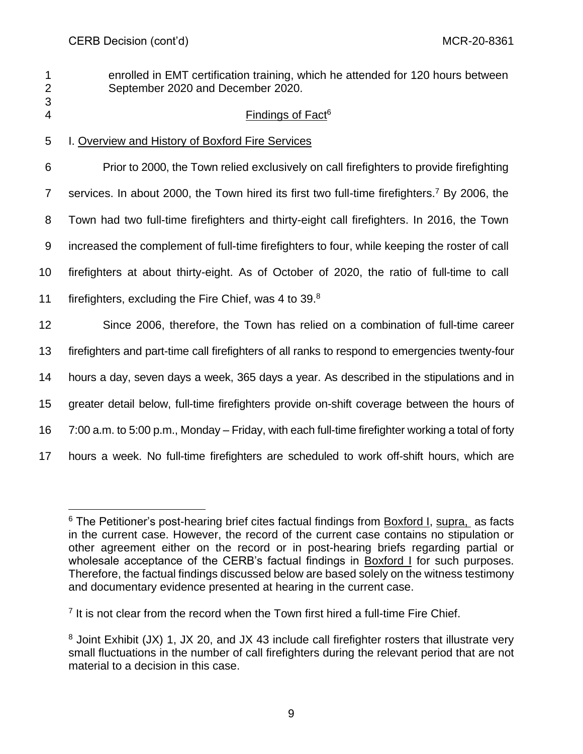2 September 2020 and December 2020. 3

# **4 Findings of Fact**<sup>6</sup>

1 enrolled in EMT certification training, which he attended for 120 hours between

5 I. Overview and History of Boxford Fire Services

 Prior to 2000, the Town relied exclusively on call firefighters to provide firefighting 7 services. In about 2000, the Town hired its first two full-time firefighters.<sup>7</sup> By 2006, the Town had two full-time firefighters and thirty-eight call firefighters. In 2016, the Town increased the complement of full-time firefighters to four, while keeping the roster of call firefighters at about thirty-eight. As of October of 2020, the ratio of full-time to call 11 firefighters, excluding the Fire Chief, was 4 to  $39.^8$  Since 2006, therefore, the Town has relied on a combination of full-time career firefighters and part-time call firefighters of all ranks to respond to emergencies twenty-four hours a day, seven days a week, 365 days a year. As described in the stipulations and in greater detail below, full-time firefighters provide on-shift coverage between the hours of 7:00 a.m. to 5:00 p.m., Monday – Friday, with each full-time firefighter working a total of forty hours a week. No full-time firefighters are scheduled to work off-shift hours, which are

 $6$  The Petitioner's post-hearing brief cites factual findings from Boxford I, supra, as facts in the current case. However, the record of the current case contains no stipulation or other agreement either on the record or in post-hearing briefs regarding partial or wholesale acceptance of the CERB's factual findings in Boxford I for such purposes. Therefore, the factual findings discussed below are based solely on the witness testimony and documentary evidence presented at hearing in the current case.

<sup>&</sup>lt;sup>7</sup> It is not clear from the record when the Town first hired a full-time Fire Chief.

<sup>&</sup>lt;sup>8</sup> Joint Exhibit (JX) 1, JX 20, and JX 43 include call firefighter rosters that illustrate very small fluctuations in the number of call firefighters during the relevant period that are not material to a decision in this case.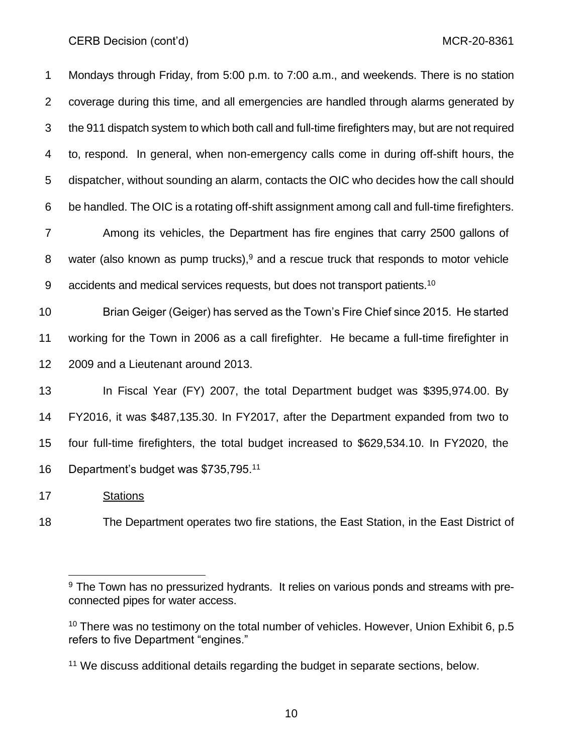Mondays through Friday, from 5:00 p.m. to 7:00 a.m., and weekends. There is no station coverage during this time, and all emergencies are handled through alarms generated by the 911 dispatch system to which both call and full-time firefighters may, but are not required to, respond. In general, when non-emergency calls come in during off-shift hours, the dispatcher, without sounding an alarm, contacts the OIC who decides how the call should be handled. The OIC is a rotating off-shift assignment among call and full-time firefighters. Among its vehicles, the Department has fire engines that carry 2500 gallons of 8 water (also known as pump trucks), and a rescue truck that responds to motor vehicle 9 accidents and medical services requests, but does not transport patients.<sup>10</sup> Brian Geiger (Geiger) has served as the Town's Fire Chief since 2015. He started working for the Town in 2006 as a call firefighter. He became a full-time firefighter in 2009 and a Lieutenant around 2013. In Fiscal Year (FY) 2007, the total Department budget was \$395,974.00. By FY2016, it was \$487,135.30. In FY2017, after the Department expanded from two to four full-time firefighters, the total budget increased to \$629,534.10. In FY2020, the

16 Department's budget was \$735,795.<sup>11</sup>

Stations

The Department operates two fire stations, the East Station, in the East District of

<sup>&</sup>lt;sup>9</sup> The Town has no pressurized hydrants. It relies on various ponds and streams with preconnected pipes for water access.

 There was no testimony on the total number of vehicles. However, Union Exhibit 6, p.5 refers to five Department "engines."

<sup>&</sup>lt;sup>11</sup> We discuss additional details regarding the budget in separate sections, below.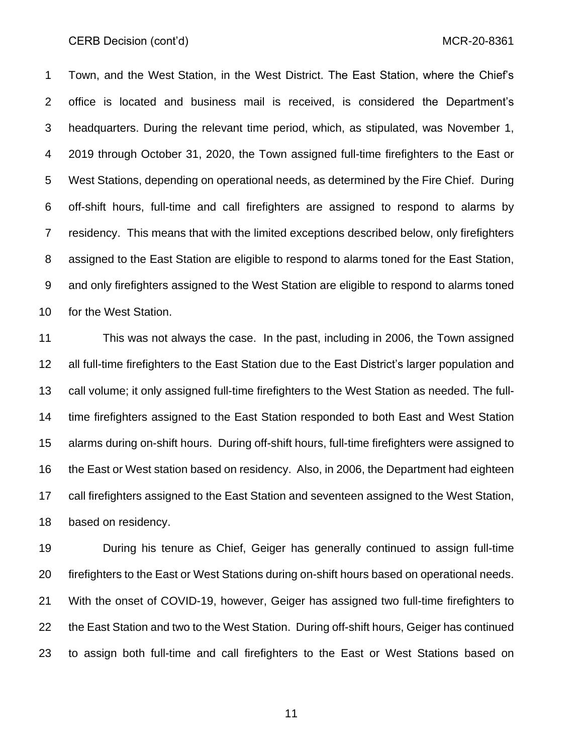Town, and the West Station, in the West District. The East Station, where the Chief's office is located and business mail is received, is considered the Department's headquarters. During the relevant time period, which, as stipulated, was November 1, 2019 through October 31, 2020, the Town assigned full-time firefighters to the East or West Stations, depending on operational needs, as determined by the Fire Chief. During off-shift hours, full-time and call firefighters are assigned to respond to alarms by residency. This means that with the limited exceptions described below, only firefighters assigned to the East Station are eligible to respond to alarms toned for the East Station, and only firefighters assigned to the West Station are eligible to respond to alarms toned for the West Station.

 This was not always the case. In the past, including in 2006, the Town assigned all full-time firefighters to the East Station due to the East District's larger population and call volume; it only assigned full-time firefighters to the West Station as needed. The full- time firefighters assigned to the East Station responded to both East and West Station alarms during on-shift hours. During off-shift hours, full-time firefighters were assigned to the East or West station based on residency. Also, in 2006, the Department had eighteen call firefighters assigned to the East Station and seventeen assigned to the West Station, based on residency.

 During his tenure as Chief, Geiger has generally continued to assign full-time firefighters to the East or West Stations during on-shift hours based on operational needs. With the onset of COVID-19, however, Geiger has assigned two full-time firefighters to the East Station and two to the West Station. During off-shift hours, Geiger has continued to assign both full-time and call firefighters to the East or West Stations based on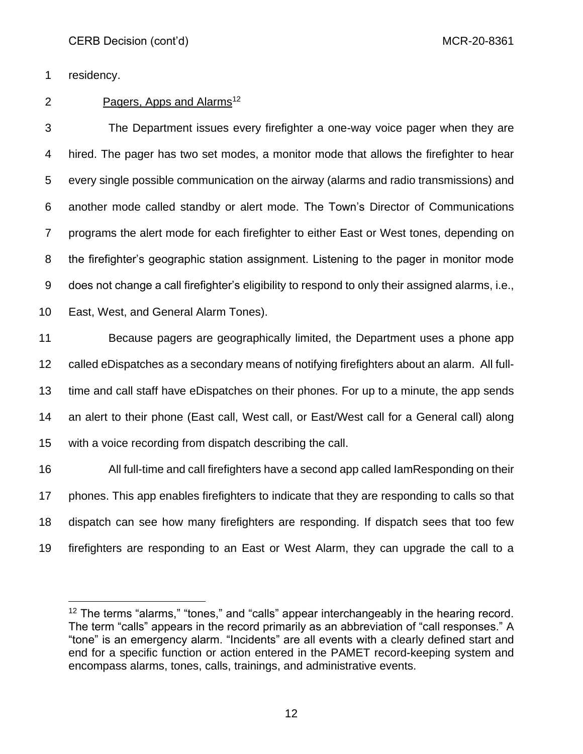residency.

# 2 Pagers, Apps and Alarms<sup>12</sup>

 The Department issues every firefighter a one-way voice pager when they are hired. The pager has two set modes, a monitor mode that allows the firefighter to hear every single possible communication on the airway (alarms and radio transmissions) and another mode called standby or alert mode. The Town's Director of Communications programs the alert mode for each firefighter to either East or West tones, depending on the firefighter's geographic station assignment. Listening to the pager in monitor mode does not change a call firefighter's eligibility to respond to only their assigned alarms, i.e.,

East, West, and General Alarm Tones).

 Because pagers are geographically limited, the Department uses a phone app called eDispatches as a secondary means of notifying firefighters about an alarm. All full- time and call staff have eDispatches on their phones. For up to a minute, the app sends an alert to their phone (East call, West call, or East/West call for a General call) along with a voice recording from dispatch describing the call.

 All full-time and call firefighters have a second app called IamResponding on their phones. This app enables firefighters to indicate that they are responding to calls so that dispatch can see how many firefighters are responding. If dispatch sees that too few firefighters are responding to an East or West Alarm, they can upgrade the call to a

<sup>&</sup>lt;sup>12</sup> The terms "alarms," "tones," and "calls" appear interchangeably in the hearing record. The term "calls" appears in the record primarily as an abbreviation of "call responses." A "tone" is an emergency alarm. "Incidents" are all events with a clearly defined start and end for a specific function or action entered in the PAMET record-keeping system and encompass alarms, tones, calls, trainings, and administrative events.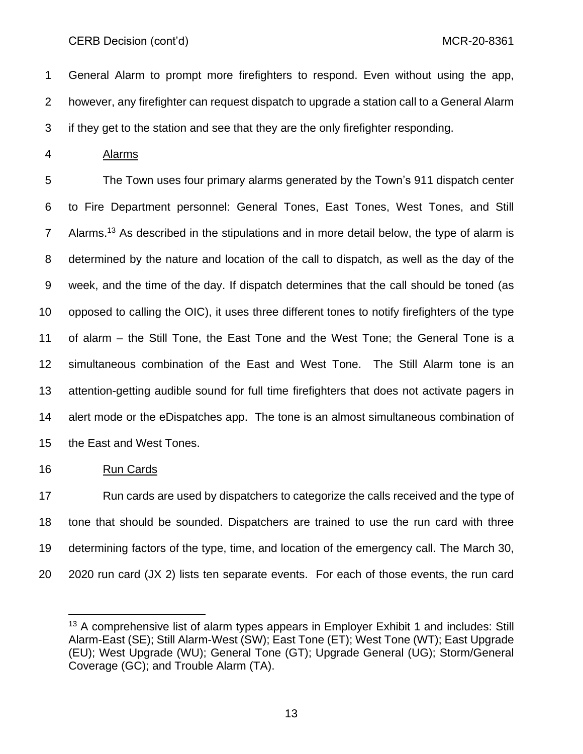General Alarm to prompt more firefighters to respond. Even without using the app, however, any firefighter can request dispatch to upgrade a station call to a General Alarm if they get to the station and see that they are the only firefighter responding.

Alarms

 The Town uses four primary alarms generated by the Town's 911 dispatch center to Fire Department personnel: General Tones, East Tones, West Tones, and Still 7 Alarms.<sup>13</sup> As described in the stipulations and in more detail below, the type of alarm is determined by the nature and location of the call to dispatch, as well as the day of the week, and the time of the day. If dispatch determines that the call should be toned (as opposed to calling the OIC), it uses three different tones to notify firefighters of the type of alarm – the Still Tone, the East Tone and the West Tone; the General Tone is a simultaneous combination of the East and West Tone. The Still Alarm tone is an attention-getting audible sound for full time firefighters that does not activate pagers in alert mode or the eDispatches app. The tone is an almost simultaneous combination of the East and West Tones.

Run Cards

 Run cards are used by dispatchers to categorize the calls received and the type of tone that should be sounded. Dispatchers are trained to use the run card with three determining factors of the type, time, and location of the emergency call. The March 30, 2020 run card (JX 2) lists ten separate events. For each of those events, the run card

<sup>&</sup>lt;sup>13</sup> A comprehensive list of alarm types appears in Employer Exhibit 1 and includes: Still Alarm-East (SE); Still Alarm-West (SW); East Tone (ET); West Tone (WT); East Upgrade (EU); West Upgrade (WU); General Tone (GT); Upgrade General (UG); Storm/General Coverage (GC); and Trouble Alarm (TA).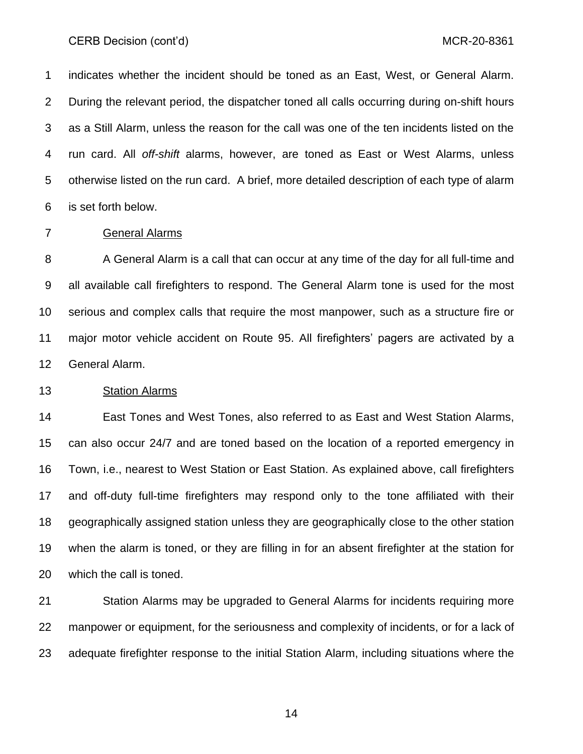indicates whether the incident should be toned as an East, West, or General Alarm. During the relevant period, the dispatcher toned all calls occurring during on-shift hours as a Still Alarm, unless the reason for the call was one of the ten incidents listed on the run card. All *off-shift* alarms, however, are toned as East or West Alarms, unless otherwise listed on the run card. A brief, more detailed description of each type of alarm is set forth below.

#### General Alarms

8 A General Alarm is a call that can occur at any time of the day for all full-time and all available call firefighters to respond. The General Alarm tone is used for the most serious and complex calls that require the most manpower, such as a structure fire or major motor vehicle accident on Route 95. All firefighters' pagers are activated by a General Alarm.

### Station Alarms

 East Tones and West Tones, also referred to as East and West Station Alarms, can also occur 24/7 and are toned based on the location of a reported emergency in Town, i.e., nearest to West Station or East Station. As explained above, call firefighters and off-duty full-time firefighters may respond only to the tone affiliated with their geographically assigned station unless they are geographically close to the other station when the alarm is toned, or they are filling in for an absent firefighter at the station for which the call is toned.

 Station Alarms may be upgraded to General Alarms for incidents requiring more manpower or equipment, for the seriousness and complexity of incidents, or for a lack of adequate firefighter response to the initial Station Alarm, including situations where the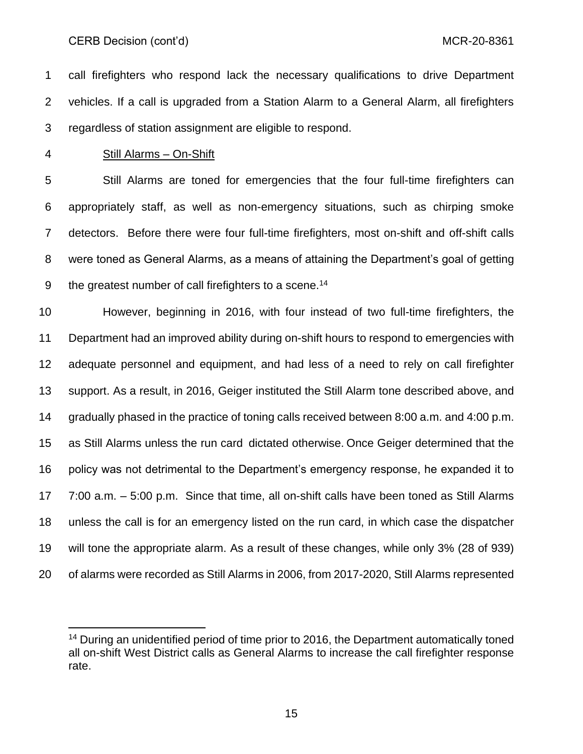call firefighters who respond lack the necessary qualifications to drive Department vehicles. If a call is upgraded from a Station Alarm to a General Alarm, all firefighters regardless of station assignment are eligible to respond.

#### Still Alarms – On-Shift

 Still Alarms are toned for emergencies that the four full-time firefighters can appropriately staff, as well as non-emergency situations, such as chirping smoke detectors. Before there were four full-time firefighters, most on-shift and off-shift calls were toned as General Alarms, as a means of attaining the Department's goal of getting 9 the greatest number of call firefighters to a scene.<sup>14</sup>

 However, beginning in 2016, with four instead of two full-time firefighters, the Department had an improved ability during on-shift hours to respond to emergencies with adequate personnel and equipment, and had less of a need to rely on call firefighter support. As a result, in 2016, Geiger instituted the Still Alarm tone described above, and gradually phased in the practice of toning calls received between 8:00 a.m. and 4:00 p.m. as Still Alarms unless the run card dictated otherwise. Once Geiger determined that the policy was not detrimental to the Department's emergency response, he expanded it to 7:00 a.m. – 5:00 p.m. Since that time, all on-shift calls have been toned as Still Alarms unless the call is for an emergency listed on the run card, in which case the dispatcher will tone the appropriate alarm. As a result of these changes, while only 3% (28 of 939) of alarms were recorded as Still Alarms in 2006, from 2017-2020, Still Alarms represented

<sup>&</sup>lt;sup>14</sup> During an unidentified period of time prior to 2016, the Department automatically toned all on-shift West District calls as General Alarms to increase the call firefighter response rate.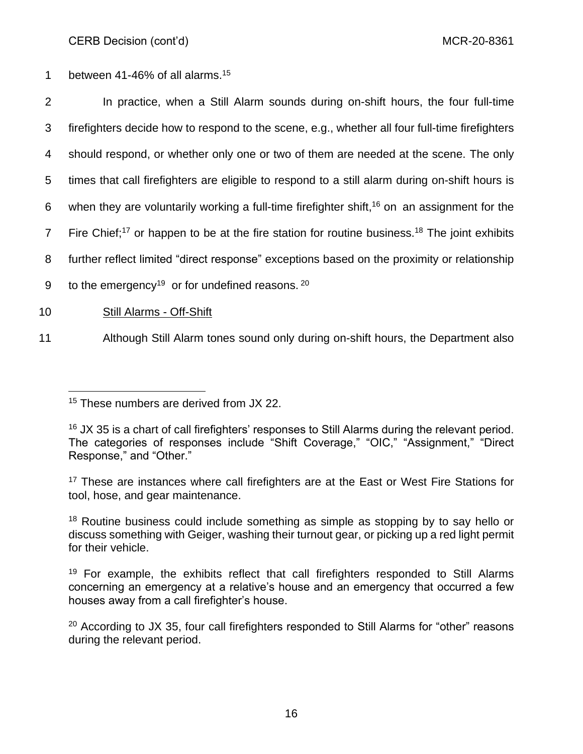1 between 41-46% of all alarms.<sup>15</sup>

| $\overline{2}$  | In practice, when a Still Alarm sounds during on-shift hours, the four full-time                                     |
|-----------------|----------------------------------------------------------------------------------------------------------------------|
| 3               | firefighters decide how to respond to the scene, e.g., whether all four full-time firefighters                       |
| 4               | should respond, or whether only one or two of them are needed at the scene. The only                                 |
| $5^{\circ}$     | times that call firefighters are eligible to respond to a still alarm during on-shift hours is                       |
| 6               | when they are voluntarily working a full-time firefighter shift, $16$ on an assignment for the                       |
| $7\overline{ }$ | Fire Chief; <sup>17</sup> or happen to be at the fire station for routine business. <sup>18</sup> The joint exhibits |
| 8               | further reflect limited "direct response" exceptions based on the proximity or relationship                          |
| 9               | to the emergency <sup>19</sup> or for undefined reasons. $20$                                                        |
|                 |                                                                                                                      |

- 10 Still Alarms Off-Shift
- 11 Although Still Alarm tones sound only during on-shift hours, the Department also

<sup>&</sup>lt;sup>15</sup> These numbers are derived from JX 22.

<sup>&</sup>lt;sup>16</sup> JX 35 is a chart of call firefighters' responses to Still Alarms during the relevant period. The categories of responses include "Shift Coverage," "OIC," "Assignment," "Direct Response," and "Other."

<sup>&</sup>lt;sup>17</sup> These are instances where call firefighters are at the East or West Fire Stations for tool, hose, and gear maintenance.

<sup>&</sup>lt;sup>18</sup> Routine business could include something as simple as stopping by to say hello or discuss something with Geiger, washing their turnout gear, or picking up a red light permit for their vehicle.

 $19$  For example, the exhibits reflect that call firefighters responded to Still Alarms concerning an emergency at a relative's house and an emergency that occurred a few houses away from a call firefighter's house.

 $20$  According to JX 35, four call firefighters responded to Still Alarms for "other" reasons during the relevant period.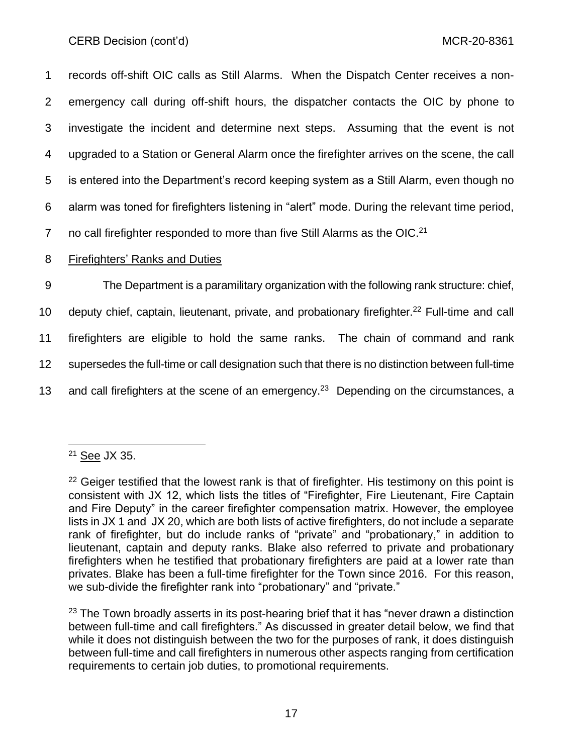records off-shift OIC calls as Still Alarms. When the Dispatch Center receives a non- emergency call during off-shift hours, the dispatcher contacts the OIC by phone to investigate the incident and determine next steps. Assuming that the event is not upgraded to a Station or General Alarm once the firefighter arrives on the scene, the call is entered into the Department's record keeping system as a Still Alarm, even though no alarm was toned for firefighters listening in "alert" mode. During the relevant time period, 7 no call firefighter responded to more than five Still Alarms as the OIC.<sup>21</sup> Firefighters' Ranks and Duties The Department is a paramilitary organization with the following rank structure: chief,

10 deputy chief, captain, lieutenant, private, and probationary firefighter.<sup>22</sup> Full-time and call

11 firefighters are eligible to hold the same ranks. The chain of command and rank

12 supersedes the full-time or call designation such that there is no distinction between full-time

13 and call firefighters at the scene of an emergency.<sup>23</sup> Depending on the circumstances, a

 $23$  The Town broadly asserts in its post-hearing brief that it has "never drawn a distinction between full-time and call firefighters." As discussed in greater detail below, we find that while it does not distinguish between the two for the purposes of rank, it does distinguish between full-time and call firefighters in numerous other aspects ranging from certification requirements to certain job duties, to promotional requirements.

<sup>21</sup> See JX 35.

<sup>&</sup>lt;sup>22</sup> Geiger testified that the lowest rank is that of firefighter. His testimony on this point is consistent with JX 12, which lists the titles of "Firefighter, Fire Lieutenant, Fire Captain and Fire Deputy" in the career firefighter compensation matrix. However, the employee lists in JX 1 and JX 20, which are both lists of active firefighters, do not include a separate rank of firefighter, but do include ranks of "private" and "probationary," in addition to lieutenant, captain and deputy ranks. Blake also referred to private and probationary firefighters when he testified that probationary firefighters are paid at a lower rate than privates. Blake has been a full-time firefighter for the Town since 2016. For this reason, we sub-divide the firefighter rank into "probationary" and "private."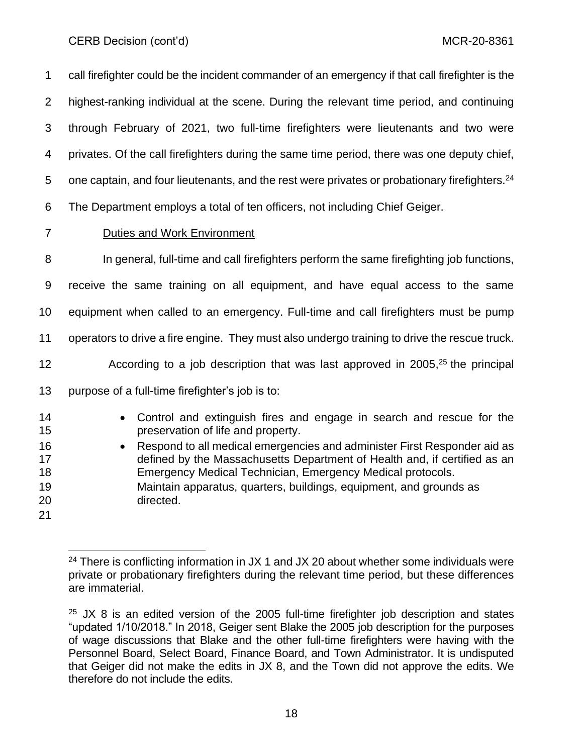call firefighter could be the incident commander of an emergency if that call firefighter is the highest-ranking individual at the scene. During the relevant time period, and continuing through February of 2021, two full-time firefighters were lieutenants and two were privates. Of the call firefighters during the same time period, there was one deputy chief, 5 one captain, and four lieutenants, and the rest were privates or probationary firefighters. The Department employs a total of ten officers, not including Chief Geiger. Duties and Work Environment In general, full-time and call firefighters perform the same firefighting job functions, receive the same training on all equipment, and have equal access to the same equipment when called to an emergency. Full-time and call firefighters must be pump operators to drive a fire engine. They must also undergo training to drive the rescue truck.  $\sim$  According to a job description that was last approved in 2005,<sup>25</sup> the principal purpose of a full-time firefighter's job is to: • Control and extinguish fires and engage in search and rescue for the preservation of life and property. • Respond to all medical emergencies and administer First Responder aid as defined by the Massachusetts Department of Health and, if certified as an Emergency Medical Technician, Emergency Medical protocols.

- Maintain apparatus, quarters, buildings, equipment, and grounds as directed.
- 

<sup>&</sup>lt;sup>24</sup> There is conflicting information in JX 1 and JX 20 about whether some individuals were private or probationary firefighters during the relevant time period, but these differences are immaterial.

 JX 8 is an edited version of the 2005 full-time firefighter job description and states "updated 1/10/2018." In 2018, Geiger sent Blake the 2005 job description for the purposes of wage discussions that Blake and the other full-time firefighters were having with the Personnel Board, Select Board, Finance Board, and Town Administrator. It is undisputed that Geiger did not make the edits in JX 8, and the Town did not approve the edits. We therefore do not include the edits.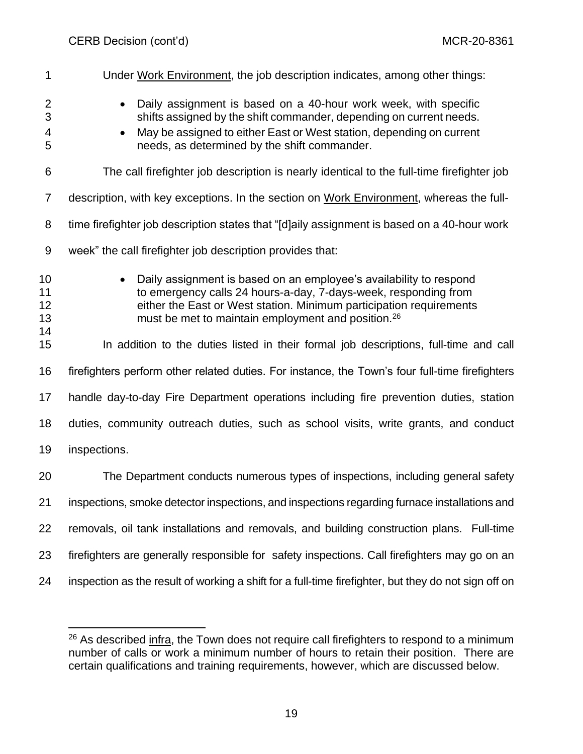| 1                          | Under Work Environment, the job description indicates, among other things:                                                                                                                                                                                                     |
|----------------------------|--------------------------------------------------------------------------------------------------------------------------------------------------------------------------------------------------------------------------------------------------------------------------------|
| 2<br>3<br>4<br>5           | Daily assignment is based on a 40-hour work week, with specific<br>shifts assigned by the shift commander, depending on current needs.<br>May be assigned to either East or West station, depending on current<br>needs, as determined by the shift commander.                 |
| 6                          | The call firefighter job description is nearly identical to the full-time firefighter job                                                                                                                                                                                      |
| 7                          | description, with key exceptions. In the section on Work Environment, whereas the full-                                                                                                                                                                                        |
| 8                          | time firefighter job description states that "[d]aily assignment is based on a 40-hour work                                                                                                                                                                                    |
| 9                          | week" the call firefighter job description provides that:                                                                                                                                                                                                                      |
| 10<br>11<br>12<br>13<br>14 | Daily assignment is based on an employee's availability to respond<br>to emergency calls 24 hours-a-day, 7-days-week, responding from<br>either the East or West station. Minimum participation requirements<br>must be met to maintain employment and position. <sup>26</sup> |
| 15                         | In addition to the duties listed in their formal job descriptions, full-time and call                                                                                                                                                                                          |
| 16                         | firefighters perform other related duties. For instance, the Town's four full-time firefighters                                                                                                                                                                                |
| 17                         | handle day-to-day Fire Department operations including fire prevention duties, station                                                                                                                                                                                         |
| 18                         | duties, community outreach duties, such as school visits, write grants, and conduct                                                                                                                                                                                            |
| 19                         | inspections.                                                                                                                                                                                                                                                                   |
| 20                         | The Department conducts numerous types of inspections, including general safety                                                                                                                                                                                                |
| 21                         | inspections, smoke detector inspections, and inspections regarding furnace installations and                                                                                                                                                                                   |
| 22                         | removals, oil tank installations and removals, and building construction plans. Full-time                                                                                                                                                                                      |
| 23                         | firefighters are generally responsible for safety inspections. Call firefighters may go on an                                                                                                                                                                                  |
| 24                         | inspection as the result of working a shift for a full-time firefighter, but they do not sign off on                                                                                                                                                                           |

 As described infra, the Town does not require call firefighters to respond to a minimum number of calls or work a minimum number of hours to retain their position. There are certain qualifications and training requirements, however, which are discussed below.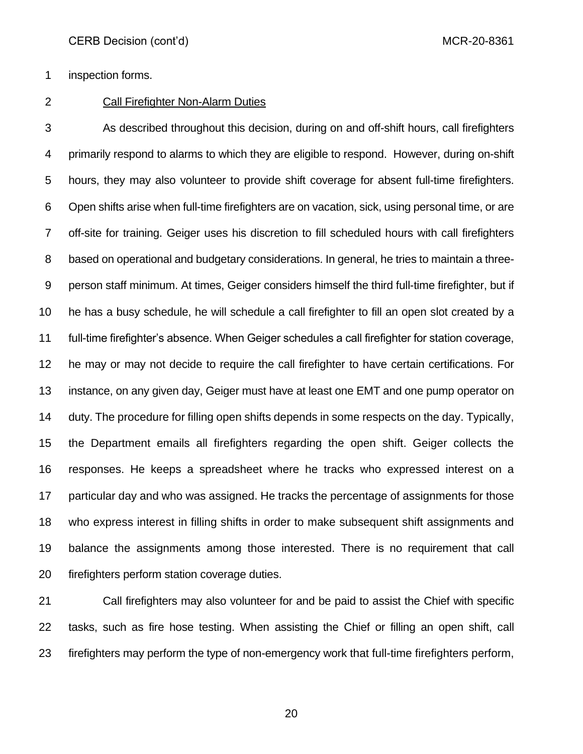inspection forms.

# Call Firefighter Non-Alarm Duties

 As described throughout this decision, during on and off-shift hours, call firefighters primarily respond to alarms to which they are eligible to respond. However, during on-shift hours, they may also volunteer to provide shift coverage for absent full-time firefighters. Open shifts arise when full-time firefighters are on vacation, sick, using personal time, or are off-site for training. Geiger uses his discretion to fill scheduled hours with call firefighters based on operational and budgetary considerations. In general, he tries to maintain a three- person staff minimum. At times, Geiger considers himself the third full-time firefighter, but if he has a busy schedule, he will schedule a call firefighter to fill an open slot created by a full-time firefighter's absence. When Geiger schedules a call firefighter for station coverage, he may or may not decide to require the call firefighter to have certain certifications. For instance, on any given day, Geiger must have at least one EMT and one pump operator on duty. The procedure for filling open shifts depends in some respects on the day. Typically, the Department emails all firefighters regarding the open shift. Geiger collects the responses. He keeps a spreadsheet where he tracks who expressed interest on a particular day and who was assigned. He tracks the percentage of assignments for those who express interest in filling shifts in order to make subsequent shift assignments and balance the assignments among those interested. There is no requirement that call firefighters perform station coverage duties.

 Call firefighters may also volunteer for and be paid to assist the Chief with specific tasks, such as fire hose testing. When assisting the Chief or filling an open shift, call firefighters may perform the type of non-emergency work that full-time firefighters perform,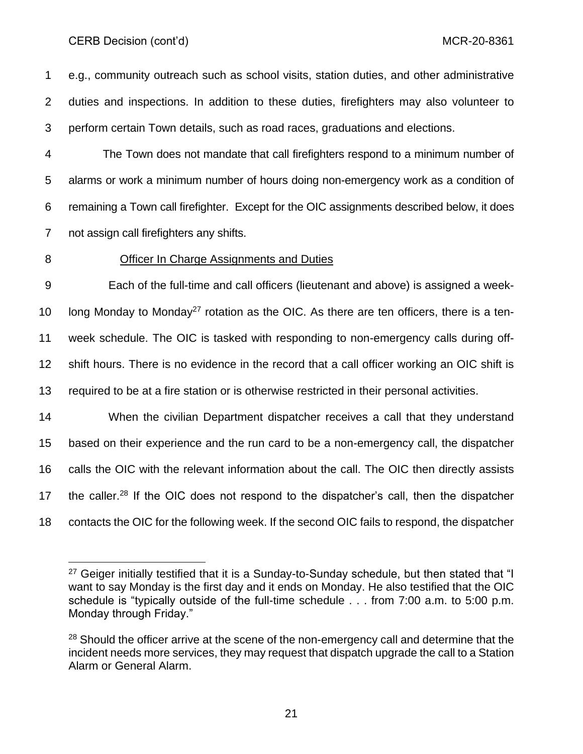e.g., community outreach such as school visits, station duties, and other administrative duties and inspections. In addition to these duties, firefighters may also volunteer to perform certain Town details, such as road races, graduations and elections.

 The Town does not mandate that call firefighters respond to a minimum number of alarms or work a minimum number of hours doing non-emergency work as a condition of remaining a Town call firefighter. Except for the OIC assignments described below, it does not assign call firefighters any shifts.

### Officer In Charge Assignments and Duties

 Each of the full-time and call officers (lieutenant and above) is assigned a week-10 Iong Monday to Monday<sup>27</sup> rotation as the OIC. As there are ten officers, there is a ten- week schedule. The OIC is tasked with responding to non-emergency calls during off- shift hours. There is no evidence in the record that a call officer working an OIC shift is required to be at a fire station or is otherwise restricted in their personal activities.

 When the civilian Department dispatcher receives a call that they understand based on their experience and the run card to be a non-emergency call, the dispatcher calls the OIC with the relevant information about the call. The OIC then directly assists 17 the caller.<sup>28</sup> If the OIC does not respond to the dispatcher's call, then the dispatcher contacts the OIC for the following week. If the second OIC fails to respond, the dispatcher

<sup>&</sup>lt;sup>27</sup> Geiger initially testified that it is a Sunday-to-Sunday schedule, but then stated that "I want to say Monday is the first day and it ends on Monday. He also testified that the OIC schedule is "typically outside of the full-time schedule . . . from 7:00 a.m. to 5:00 p.m. Monday through Friday."

<sup>&</sup>lt;sup>28</sup> Should the officer arrive at the scene of the non-emergency call and determine that the incident needs more services, they may request that dispatch upgrade the call to a Station Alarm or General Alarm.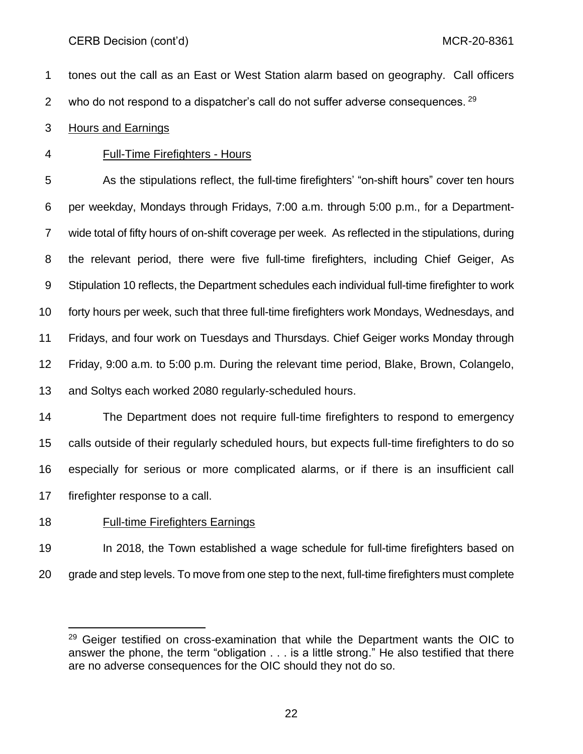tones out the call as an East or West Station alarm based on geography. Call officers 2 who do not respond to a dispatcher's call do not suffer adverse consequences.  $^{29}$ 

### Hours and Earnings

Full-Time Firefighters - Hours

 As the stipulations reflect, the full-time firefighters' "on-shift hours" cover ten hours per weekday, Mondays through Fridays, 7:00 a.m. through 5:00 p.m., for a Department- wide total of fifty hours of on-shift coverage per week. As reflected in the stipulations, during the relevant period, there were five full-time firefighters, including Chief Geiger, As Stipulation 10 reflects, the Department schedules each individual full-time firefighter to work forty hours per week, such that three full-time firefighters work Mondays, Wednesdays, and Fridays, and four work on Tuesdays and Thursdays. Chief Geiger works Monday through Friday, 9:00 a.m. to 5:00 p.m. During the relevant time period, Blake, Brown, Colangelo, and Soltys each worked 2080 regularly-scheduled hours.

 The Department does not require full-time firefighters to respond to emergency calls outside of their regularly scheduled hours, but expects full-time firefighters to do so especially for serious or more complicated alarms, or if there is an insufficient call firefighter response to a call.

### Full-time Firefighters Earnings

 In 2018, the Town established a wage schedule for full-time firefighters based on grade and step levels. To move from one step to the next, full-time firefighters must complete

 Geiger testified on cross-examination that while the Department wants the OIC to answer the phone, the term "obligation . . . is a little strong." He also testified that there are no adverse consequences for the OIC should they not do so.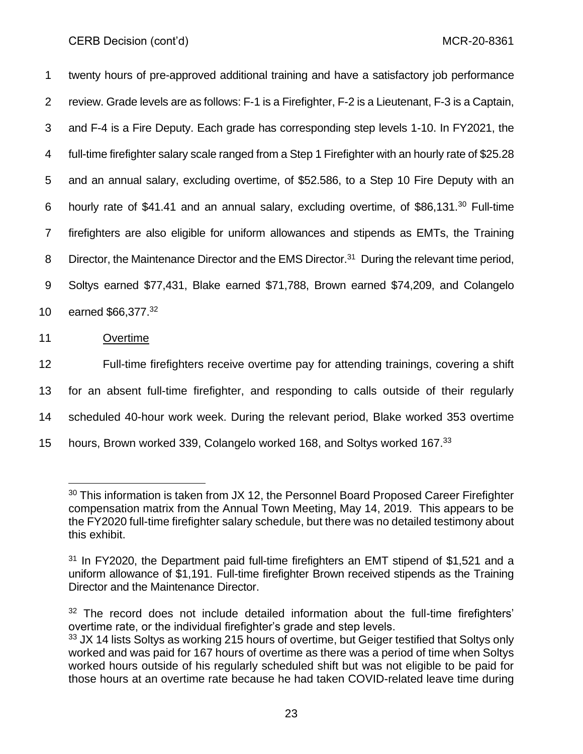twenty hours of pre-approved additional training and have a satisfactory job performance review. Grade levels are as follows: F-1 is a Firefighter, F-2 is a Lieutenant, F-3 is a Captain, and F-4 is a Fire Deputy. Each grade has corresponding step levels 1-10. In FY2021, the full-time firefighter salary scale ranged from a Step 1 Firefighter with an hourly rate of \$25.28 and an annual salary, excluding overtime, of \$52.586, to a Step 10 Fire Deputy with an 6 hourly rate of \$41.41 and an annual salary, excluding overtime, of \$86,131.<sup>30</sup> Full-time firefighters are also eligible for uniform allowances and stipends as EMTs, the Training 8 Director, the Maintenance Director and the EMS Director.<sup>31</sup> During the relevant time period, Soltys earned \$77,431, Blake earned \$71,788, Brown earned \$74,209, and Colangelo 10 earned \$66,377.<sup>32</sup>

11 Overtime

 Full-time firefighters receive overtime pay for attending trainings, covering a shift for an absent full-time firefighter, and responding to calls outside of their regularly scheduled 40-hour work week. During the relevant period, Blake worked 353 overtime 15 hours, Brown worked 339, Colangelo worked 168, and Soltys worked 167.<sup>33</sup>

<sup>&</sup>lt;sup>30</sup> This information is taken from JX 12, the Personnel Board Proposed Career Firefighter compensation matrix from the Annual Town Meeting, May 14, 2019. This appears to be the FY2020 full-time firefighter salary schedule, but there was no detailed testimony about this exhibit.

 $31$  In FY2020, the Department paid full-time firefighters an EMT stipend of \$1,521 and a uniform allowance of \$1,191. Full-time firefighter Brown received stipends as the Training Director and the Maintenance Director.

<sup>&</sup>lt;sup>32</sup> The record does not include detailed information about the full-time firefighters' overtime rate, or the individual firefighter's grade and step levels.

 $33$  JX 14 lists Soltys as working 215 hours of overtime, but Geiger testified that Soltys only worked and was paid for 167 hours of overtime as there was a period of time when Soltys worked hours outside of his regularly scheduled shift but was not eligible to be paid for those hours at an overtime rate because he had taken COVID-related leave time during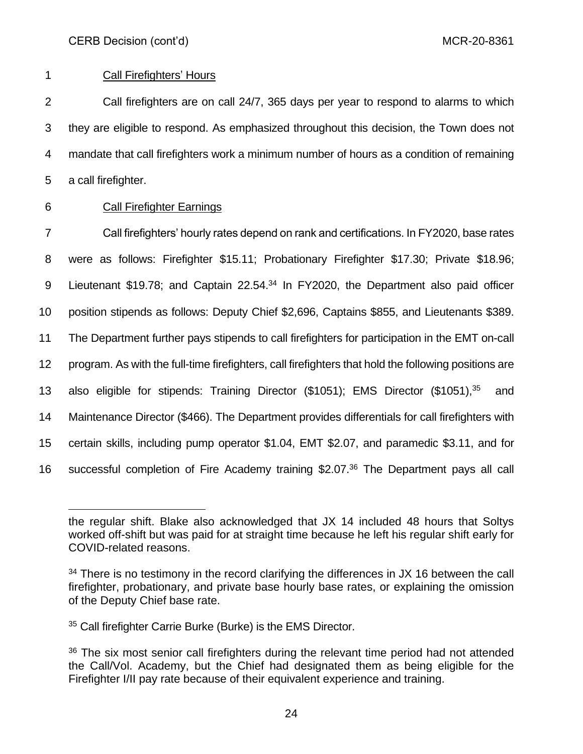# 1 Call Firefighters' Hours

 Call firefighters are on call 24/7, 365 days per year to respond to alarms to which they are eligible to respond. As emphasized throughout this decision, the Town does not mandate that call firefighters work a minimum number of hours as a condition of remaining a call firefighter.

# 6 Call Firefighter Earnings

 Call firefighters' hourly rates depend on rank and certifications. In FY2020, base rates were as follows: Firefighter \$15.11; Probationary Firefighter \$17.30; Private \$18.96; 9 Lieutenant \$19.78; and Captain 22.54.<sup>34</sup> In FY2020, the Department also paid officer position stipends as follows: Deputy Chief \$2,696, Captains \$855, and Lieutenants \$389. The Department further pays stipends to call firefighters for participation in the EMT on-call program. As with the full-time firefighters, call firefighters that hold the following positions are 13 also eligible for stipends: Training Director (\$1051); EMS Director (\$1051),<sup>35</sup> and Maintenance Director (\$466). The Department provides differentials for call firefighters with certain skills, including pump operator \$1.04, EMT \$2.07, and paramedic \$3.11, and for 16 successful completion of Fire Academy training  $$2.07<sup>36</sup>$  The Department pays all call

the regular shift. Blake also acknowledged that JX 14 included 48 hours that Soltys worked off-shift but was paid for at straight time because he left his regular shift early for COVID-related reasons.

 $34$  There is no testimony in the record clarifying the differences in JX 16 between the call firefighter, probationary, and private base hourly base rates, or explaining the omission of the Deputy Chief base rate.

<sup>35</sup> Call firefighter Carrie Burke (Burke) is the EMS Director.

<sup>&</sup>lt;sup>36</sup> The six most senior call firefighters during the relevant time period had not attended the Call/Vol. Academy, but the Chief had designated them as being eligible for the Firefighter I/II pay rate because of their equivalent experience and training.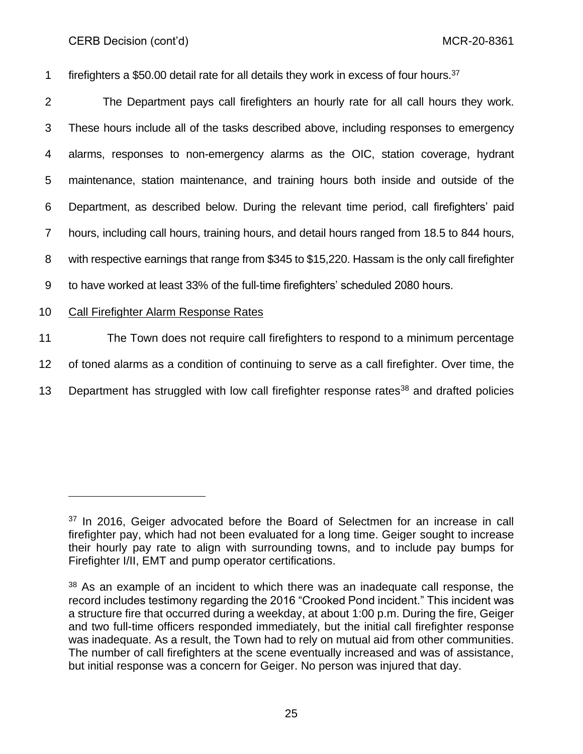firefighters a \$50.00 detail rate for all details they work in excess of four hours.<sup>37</sup>

 The Department pays call firefighters an hourly rate for all call hours they work. These hours include all of the tasks described above, including responses to emergency alarms, responses to non-emergency alarms as the OIC, station coverage, hydrant maintenance, station maintenance, and training hours both inside and outside of the Department, as described below. During the relevant time period, call firefighters' paid hours, including call hours, training hours, and detail hours ranged from 18.5 to 844 hours, with respective earnings that range from \$345 to \$15,220. Hassam is the only call firefighter to have worked at least 33% of the full-time firefighters' scheduled 2080 hours.

# 10 Call Firefighter Alarm Response Rates

11 The Town does not require call firefighters to respond to a minimum percentage 12 of toned alarms as a condition of continuing to serve as a call firefighter. Over time, the 13 Department has struggled with low call firefighter response rates<sup>38</sup> and drafted policies

 $37$  In 2016, Geiger advocated before the Board of Selectmen for an increase in call firefighter pay, which had not been evaluated for a long time. Geiger sought to increase their hourly pay rate to align with surrounding towns, and to include pay bumps for Firefighter I/II, EMT and pump operator certifications.

 $38$  As an example of an incident to which there was an inadequate call response, the record includes testimony regarding the 2016 "Crooked Pond incident." This incident was a structure fire that occurred during a weekday, at about 1:00 p.m. During the fire, Geiger and two full-time officers responded immediately, but the initial call firefighter response was inadequate. As a result, the Town had to rely on mutual aid from other communities. The number of call firefighters at the scene eventually increased and was of assistance, but initial response was a concern for Geiger. No person was injured that day.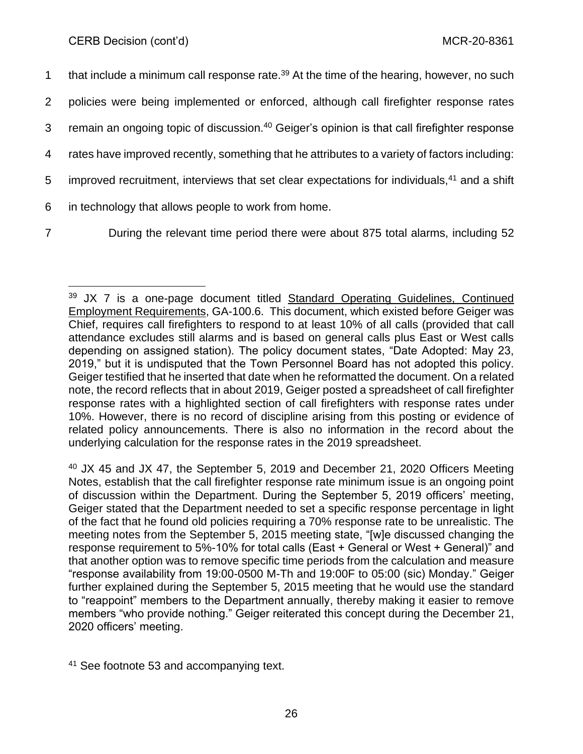| $\mathbf 1$    | that include a minimum call response rate. <sup>39</sup> At the time of the hearing, however, no such   |
|----------------|---------------------------------------------------------------------------------------------------------|
| $\overline{2}$ | policies were being implemented or enforced, although call firefighter response rates                   |
| 3              | remain an ongoing topic of discussion. <sup>40</sup> Geiger's opinion is that call firefighter response |
| 4              | rates have improved recently, something that he attributes to a variety of factors including:           |
| 5              | improved recruitment, interviews that set clear expectations for individuals, <sup>41</sup> and a shift |
| 6              | in technology that allows people to work from home.                                                     |
|                |                                                                                                         |

7 During the relevant time period there were about 875 total alarms, including 52

<sup>39</sup> JX 7 is a one-page document titled Standard Operating Guidelines, Continued Employment Requirements, GA-100.6. This document, which existed before Geiger was Chief, requires call firefighters to respond to at least 10% of all calls (provided that call attendance excludes still alarms and is based on general calls plus East or West calls depending on assigned station). The policy document states, "Date Adopted: May 23, 2019," but it is undisputed that the Town Personnel Board has not adopted this policy. Geiger testified that he inserted that date when he reformatted the document. On a related note, the record reflects that in about 2019, Geiger posted a spreadsheet of call firefighter response rates with a highlighted section of call firefighters with response rates under 10%. However, there is no record of discipline arising from this posting or evidence of related policy announcements. There is also no information in the record about the underlying calculation for the response rates in the 2019 spreadsheet.

<sup>&</sup>lt;sup>40</sup> JX 45 and JX 47, the September 5, 2019 and December 21, 2020 Officers Meeting Notes, establish that the call firefighter response rate minimum issue is an ongoing point of discussion within the Department. During the September 5, 2019 officers' meeting, Geiger stated that the Department needed to set a specific response percentage in light of the fact that he found old policies requiring a 70% response rate to be unrealistic. The meeting notes from the September 5, 2015 meeting state, "[w]e discussed changing the response requirement to 5%-10% for total calls (East + General or West + General)" and that another option was to remove specific time periods from the calculation and measure "response availability from 19:00-0500 M-Th and 19:00F to 05:00 (sic) Monday." Geiger further explained during the September 5, 2015 meeting that he would use the standard to "reappoint" members to the Department annually, thereby making it easier to remove members "who provide nothing." Geiger reiterated this concept during the December 21, 2020 officers' meeting.

<sup>41</sup> See footnote 53 and accompanying text.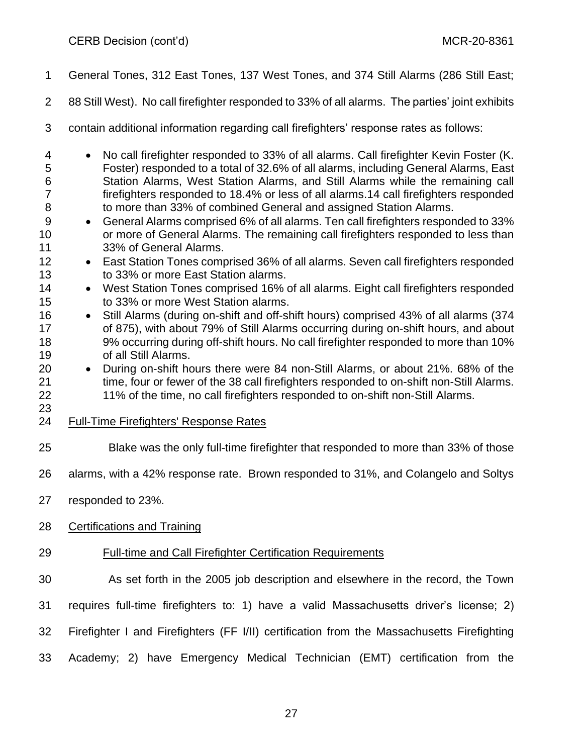- General Tones, 312 East Tones, 137 West Tones, and 374 Still Alarms (286 Still East;
- 88 Still West). No call firefighter responded to 33% of all alarms. The parties' joint exhibits
- contain additional information regarding call firefighters' response rates as follows:
- No call firefighter responded to 33% of all alarms. Call firefighter Kevin Foster (K. Foster) responded to a total of 32.6% of all alarms, including General Alarms, East Station Alarms, West Station Alarms, and Still Alarms while the remaining call firefighters responded to 18.4% or less of all alarms.14 call firefighters responded to more than 33% of combined General and assigned Station Alarms.
- General Alarms comprised 6% of all alarms. Ten call firefighters responded to 33% or more of General Alarms. The remaining call firefighters responded to less than 33% of General Alarms.
- East Station Tones comprised 36% of all alarms. Seven call firefighters responded to 33% or more East Station alarms.
- 14 West Station Tones comprised 16% of all alarms. Eight call firefighters responded to 33% or more West Station alarms.
- Still Alarms (during on-shift and off-shift hours) comprised 43% of all alarms (374 of 875), with about 79% of Still Alarms occurring during on-shift hours, and about 9% occurring during off-shift hours. No call firefighter responded to more than 10% of all Still Alarms.
- During on-shift hours there were 84 non-Still Alarms, or about 21%. 68% of the 21 time, four or fewer of the 38 call firefighters responded to on-shift non-Still Alarms. 11% of the time, no call firefighters responded to on-shift non-Still Alarms.
- 

Full-Time Firefighters' Response Rates

- Blake was the only full-time firefighter that responded to more than 33% of those
- alarms, with a 42% response rate. Brown responded to 31%, and Colangelo and Soltys
- responded to 23%.
- Certifications and Training
- Full-time and Call Firefighter Certification Requirements
- As set forth in the 2005 job description and elsewhere in the record, the Town
- requires full-time firefighters to: 1) have a valid Massachusetts driver's license; 2)
- Firefighter I and Firefighters (FF I/II) certification from the Massachusetts Firefighting
- Academy; 2) have Emergency Medical Technician (EMT) certification from the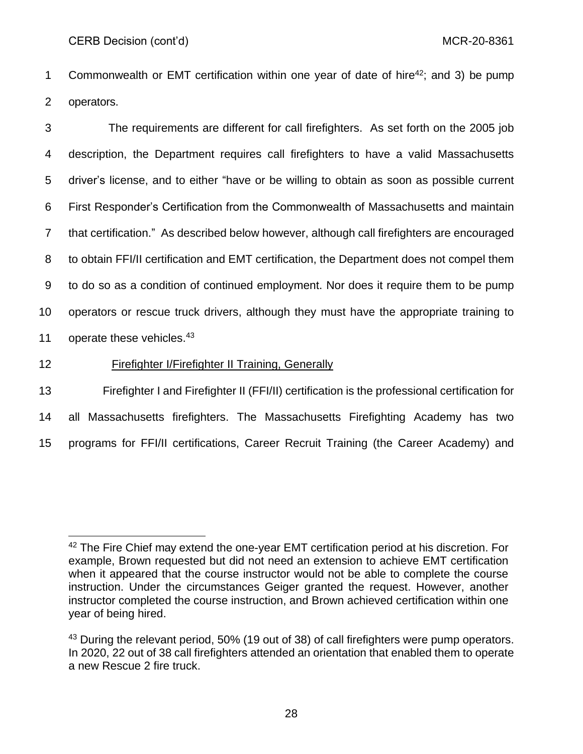1 Commonwealth or EMT certification within one year of date of hire<sup>42</sup>; and 3) be pump 2 operators.

 The requirements are different for call firefighters. As set forth on the 2005 job description, the Department requires call firefighters to have a valid Massachusetts driver's license, and to either "have or be willing to obtain as soon as possible current First Responder's Certification from the Commonwealth of Massachusetts and maintain that certification." As described below however, although call firefighters are encouraged to obtain FFI/II certification and EMT certification, the Department does not compel them to do so as a condition of continued employment. Nor does it require them to be pump operators or rescue truck drivers, although they must have the appropriate training to 11 operate these vehicles. $43$ 

### 12 Firefighter I/Firefighter II Training, Generally

13 Firefighter I and Firefighter II (FFI/II) certification is the professional certification for 14 all Massachusetts firefighters. The Massachusetts Firefighting Academy has two 15 programs for FFI/II certifications, Career Recruit Training (the Career Academy) and

<sup>42</sup> The Fire Chief may extend the one-year EMT certification period at his discretion. For example, Brown requested but did not need an extension to achieve EMT certification when it appeared that the course instructor would not be able to complete the course instruction. Under the circumstances Geiger granted the request. However, another instructor completed the course instruction, and Brown achieved certification within one year of being hired.

<sup>&</sup>lt;sup>43</sup> During the relevant period, 50% (19 out of 38) of call firefighters were pump operators. In 2020, 22 out of 38 call firefighters attended an orientation that enabled them to operate a new Rescue 2 fire truck.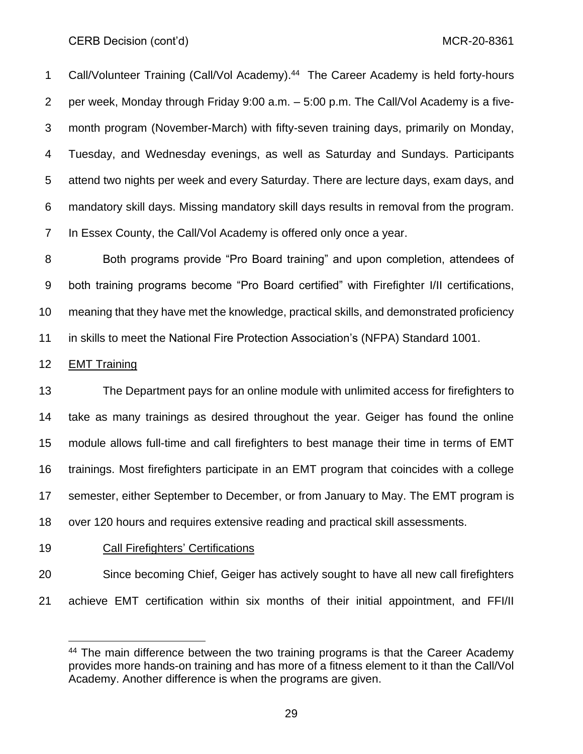1 Call/Volunteer Training (Call/Vol Academy).<sup>44</sup> The Career Academy is held forty-hours per week, Monday through Friday 9:00 a.m. – 5:00 p.m. The Call/Vol Academy is a five- month program (November-March) with fifty-seven training days, primarily on Monday, Tuesday, and Wednesday evenings, as well as Saturday and Sundays. Participants attend two nights per week and every Saturday. There are lecture days, exam days, and mandatory skill days. Missing mandatory skill days results in removal from the program. In Essex County, the Call/Vol Academy is offered only once a year.

 Both programs provide "Pro Board training" and upon completion, attendees of both training programs become "Pro Board certified" with Firefighter I/II certifications, meaning that they have met the knowledge, practical skills, and demonstrated proficiency in skills to meet the National Fire Protection Association's (NFPA) Standard 1001.

#### EMT Training

 The Department pays for an online module with unlimited access for firefighters to take as many trainings as desired throughout the year. Geiger has found the online module allows full-time and call firefighters to best manage their time in terms of EMT trainings. Most firefighters participate in an EMT program that coincides with a college semester, either September to December, or from January to May. The EMT program is over 120 hours and requires extensive reading and practical skill assessments.

Call Firefighters' Certifications

Since becoming Chief, Geiger has actively sought to have all new call firefighters

achieve EMT certification within six months of their initial appointment, and FFI/II

<sup>&</sup>lt;sup>44</sup> The main difference between the two training programs is that the Career Academy provides more hands-on training and has more of a fitness element to it than the Call/Vol Academy. Another difference is when the programs are given.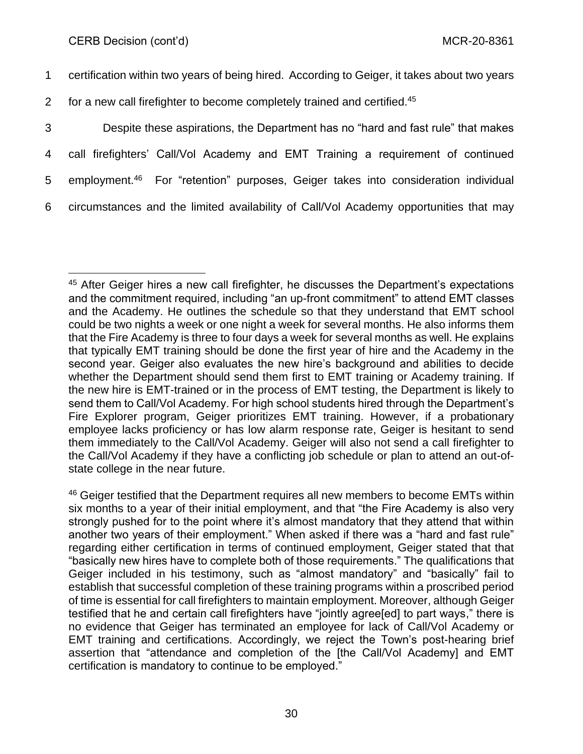certification within two years of being hired. According to Geiger, it takes about two years for a new call firefighter to become completely trained and certified.<sup>45</sup> Despite these aspirations, the Department has no "hard and fast rule" that makes call firefighters' Call/Vol Academy and EMT Training a requirement of continued 5 employment.<sup>46</sup> For "retention" purposes, Geiger takes into consideration individual circumstances and the limited availability of Call/Vol Academy opportunities that may

<sup>45</sup> After Geiger hires a new call firefighter, he discusses the Department's expectations and the commitment required, including "an up-front commitment" to attend EMT classes and the Academy. He outlines the schedule so that they understand that EMT school could be two nights a week or one night a week for several months. He also informs them that the Fire Academy is three to four days a week for several months as well. He explains that typically EMT training should be done the first year of hire and the Academy in the second year. Geiger also evaluates the new hire's background and abilities to decide whether the Department should send them first to EMT training or Academy training. If the new hire is EMT-trained or in the process of EMT testing, the Department is likely to send them to Call/Vol Academy. For high school students hired through the Department's Fire Explorer program, Geiger prioritizes EMT training. However, if a probationary employee lacks proficiency or has low alarm response rate, Geiger is hesitant to send them immediately to the Call/Vol Academy. Geiger will also not send a call firefighter to the Call/Vol Academy if they have a conflicting job schedule or plan to attend an out-ofstate college in the near future.

<sup>&</sup>lt;sup>46</sup> Geiger testified that the Department requires all new members to become EMTs within six months to a year of their initial employment, and that "the Fire Academy is also very strongly pushed for to the point where it's almost mandatory that they attend that within another two years of their employment." When asked if there was a "hard and fast rule" regarding either certification in terms of continued employment, Geiger stated that that "basically new hires have to complete both of those requirements." The qualifications that Geiger included in his testimony, such as "almost mandatory" and "basically" fail to establish that successful completion of these training programs within a proscribed period of time is essential for call firefighters to maintain employment. Moreover, although Geiger testified that he and certain call firefighters have "jointly agree[ed] to part ways," there is no evidence that Geiger has terminated an employee for lack of Call/Vol Academy or EMT training and certifications. Accordingly, we reject the Town's post-hearing brief assertion that "attendance and completion of the [the Call/Vol Academy] and EMT certification is mandatory to continue to be employed."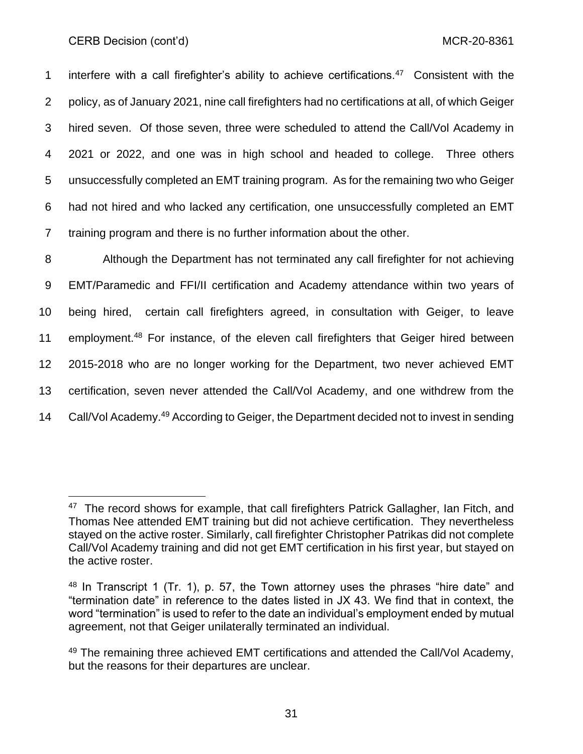1 interfere with a call firefighter's ability to achieve certifications. $47$  Consistent with the policy, as of January 2021, nine call firefighters had no certifications at all, of which Geiger hired seven. Of those seven, three were scheduled to attend the Call/Vol Academy in 2021 or 2022, and one was in high school and headed to college. Three others unsuccessfully completed an EMT training program. As for the remaining two who Geiger had not hired and who lacked any certification, one unsuccessfully completed an EMT training program and there is no further information about the other.

 Although the Department has not terminated any call firefighter for not achieving EMT/Paramedic and FFI/II certification and Academy attendance within two years of being hired, certain call firefighters agreed, in consultation with Geiger, to leave 11 employment.<sup>48</sup> For instance, of the eleven call firefighters that Geiger hired between 2015-2018 who are no longer working for the Department, two never achieved EMT certification, seven never attended the Call/Vol Academy, and one withdrew from the 14 Call/Vol Academy.<sup>49</sup> According to Geiger, the Department decided not to invest in sending

<sup>&</sup>lt;sup>47</sup> The record shows for example, that call firefighters Patrick Gallagher, Ian Fitch, and Thomas Nee attended EMT training but did not achieve certification. They nevertheless stayed on the active roster. Similarly, call firefighter Christopher Patrikas did not complete Call/Vol Academy training and did not get EMT certification in his first year, but stayed on the active roster.

<sup>48</sup> In Transcript 1 (Tr. 1), p. 57, the Town attorney uses the phrases "hire date" and "termination date" in reference to the dates listed in JX 43. We find that in context, the word "termination" is used to refer to the date an individual's employment ended by mutual agreement, not that Geiger unilaterally terminated an individual.

<sup>&</sup>lt;sup>49</sup> The remaining three achieved EMT certifications and attended the Call/Vol Academy, but the reasons for their departures are unclear.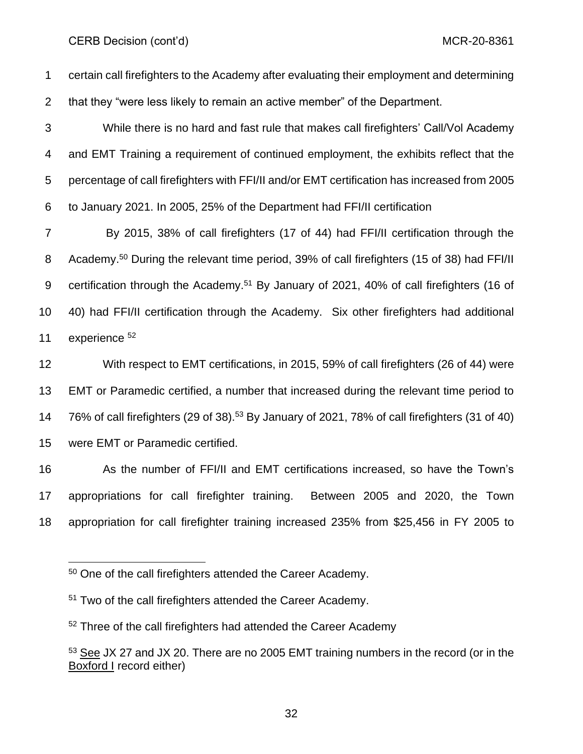certain call firefighters to the Academy after evaluating their employment and determining that they "were less likely to remain an active member" of the Department.

 While there is no hard and fast rule that makes call firefighters' Call/Vol Academy and EMT Training a requirement of continued employment, the exhibits reflect that the percentage of call firefighters with FFI/II and/or EMT certification has increased from 2005 to January 2021. In 2005, 25% of the Department had FFI/II certification

 By 2015, 38% of call firefighters (17 of 44) had FFI/II certification through the 8 Academy.<sup>50</sup> During the relevant time period, 39% of call firefighters (15 of 38) had FFI/II 9 certification through the Academy.<sup>51</sup> By January of 2021, 40% of call firefighters (16 of 40) had FFI/II certification through the Academy. Six other firefighters had additional 11 experience

 With respect to EMT certifications, in 2015, 59% of call firefighters (26 of 44) were EMT or Paramedic certified, a number that increased during the relevant time period to  $76\%$  of call firefighters (29 of 38).<sup>53</sup> By January of 2021, 78% of call firefighters (31 of 40) were EMT or Paramedic certified.

 As the number of FFI/II and EMT certifications increased, so have the Town's appropriations for call firefighter training. Between 2005 and 2020, the Town appropriation for call firefighter training increased 235% from \$25,456 in FY 2005 to

One of the call firefighters attended the Career Academy.

<sup>&</sup>lt;sup>51</sup> Two of the call firefighters attended the Career Academy.

<sup>&</sup>lt;sup>52</sup> Three of the call firefighters had attended the Career Academy

 See JX 27 and JX 20. There are no 2005 EMT training numbers in the record (or in the Boxford I record either)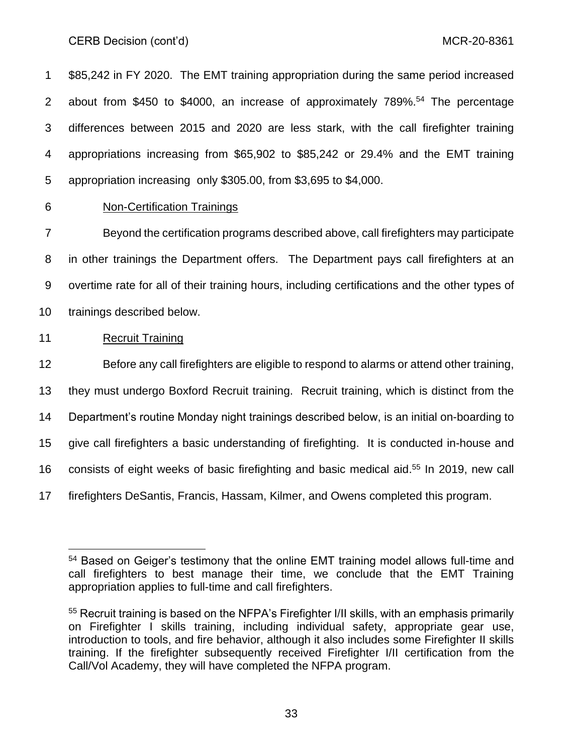\$85,242 in FY 2020. The EMT training appropriation during the same period increased 2 about from \$450 to \$4000, an increase of approximately 789%.<sup>54</sup> The percentage differences between 2015 and 2020 are less stark, with the call firefighter training appropriations increasing from \$65,902 to \$85,242 or 29.4% and the EMT training appropriation increasing only \$305.00, from \$3,695 to \$4,000.

Non-Certification Trainings

 Beyond the certification programs described above, call firefighters may participate in other trainings the Department offers. The Department pays call firefighters at an overtime rate for all of their training hours, including certifications and the other types of trainings described below.

## Recruit Training

 Before any call firefighters are eligible to respond to alarms or attend other training, they must undergo Boxford Recruit training. Recruit training, which is distinct from the Department's routine Monday night trainings described below, is an initial on-boarding to give call firefighters a basic understanding of firefighting. It is conducted in-house and 16 consists of eight weeks of basic firefighting and basic medical aid.<sup>55</sup> In 2019, new call firefighters DeSantis, Francis, Hassam, Kilmer, and Owens completed this program.

 Based on Geiger's testimony that the online EMT training model allows full-time and call firefighters to best manage their time, we conclude that the EMT Training appropriation applies to full-time and call firefighters.

<sup>55</sup> Recruit training is based on the NFPA's Firefighter I/II skills, with an emphasis primarily on Firefighter I skills training, including individual safety, appropriate gear use, introduction to tools, and fire behavior, although it also includes some Firefighter II skills training. If the firefighter subsequently received Firefighter I/II certification from the Call/Vol Academy, they will have completed the NFPA program.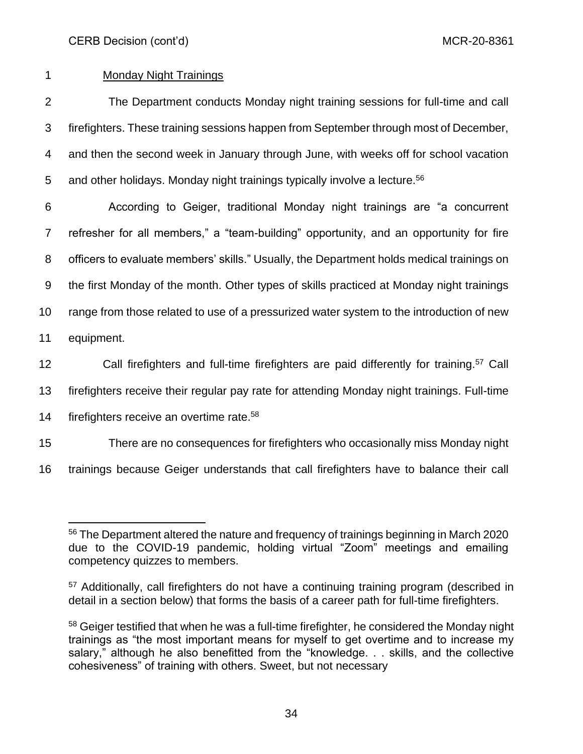# 1 Monday Night Trainings

 The Department conducts Monday night training sessions for full-time and call firefighters. These training sessions happen from September through most of December, and then the second week in January through June, with weeks off for school vacation 5 and other holidays. Monday night trainings typically involve a lecture.<sup>56</sup>

 According to Geiger, traditional Monday night trainings are "a concurrent refresher for all members," a "team-building" opportunity, and an opportunity for fire officers to evaluate members' skills." Usually, the Department holds medical trainings on the first Monday of the month. Other types of skills practiced at Monday night trainings range from those related to use of a pressurized water system to the introduction of new equipment.

12 Call firefighters and full-time firefighters are paid differently for training.<sup>57</sup> Call

13 firefighters receive their regular pay rate for attending Monday night trainings. Full-time

14 firefighters receive an overtime rate.<sup>58</sup>

15 There are no consequences for firefighters who occasionally miss Monday night

16 trainings because Geiger understands that call firefighters have to balance their call

<sup>56</sup> The Department altered the nature and frequency of trainings beginning in March 2020 due to the COVID-19 pandemic, holding virtual "Zoom" meetings and emailing competency quizzes to members.

<sup>&</sup>lt;sup>57</sup> Additionally, call firefighters do not have a continuing training program (described in detail in a section below) that forms the basis of a career path for full-time firefighters.

 $58$  Geiger testified that when he was a full-time firefighter, he considered the Monday night trainings as "the most important means for myself to get overtime and to increase my salary," although he also benefitted from the "knowledge. . . skills, and the collective cohesiveness" of training with others. Sweet, but not necessary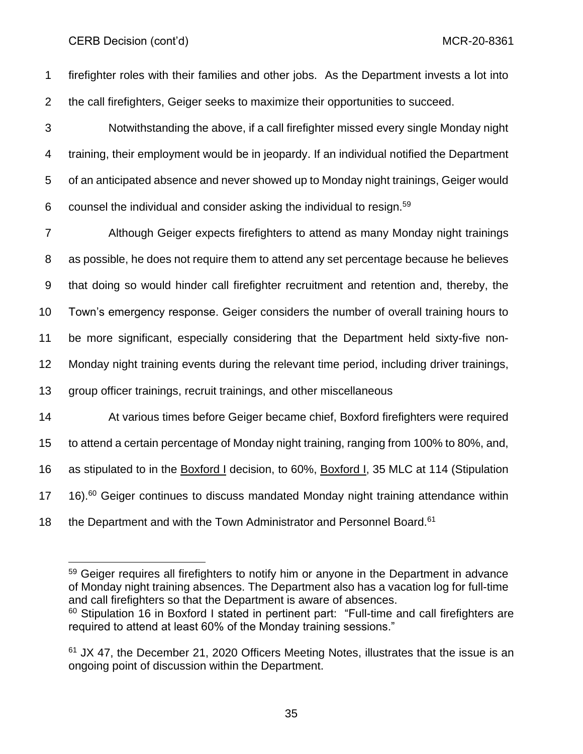firefighter roles with their families and other jobs. As the Department invests a lot into the call firefighters, Geiger seeks to maximize their opportunities to succeed.

 Notwithstanding the above, if a call firefighter missed every single Monday night training, their employment would be in jeopardy. If an individual notified the Department of an anticipated absence and never showed up to Monday night trainings, Geiger would 6 counsel the individual and consider asking the individual to resign.<sup>59</sup>

 Although Geiger expects firefighters to attend as many Monday night trainings as possible, he does not require them to attend any set percentage because he believes that doing so would hinder call firefighter recruitment and retention and, thereby, the Town's emergency response. Geiger considers the number of overall training hours to be more significant, especially considering that the Department held sixty-five non- Monday night training events during the relevant time period, including driver trainings, group officer trainings, recruit trainings, and other miscellaneous At various times before Geiger became chief, Boxford firefighters were required to attend a certain percentage of Monday night training, ranging from 100% to 80%, and, as stipulated to in the Boxford I decision, to 60%, Boxford I, 35 MLC at 114 (Stipulation  $16)$ . <sup>60</sup> Geiger continues to discuss mandated Monday night training attendance within 18 the Department and with the Town Administrator and Personnel Board.<sup>61</sup>

<sup>&</sup>lt;sup>59</sup> Geiger requires all firefighters to notify him or anyone in the Department in advance of Monday night training absences. The Department also has a vacation log for full-time and call firefighters so that the Department is aware of absences.

 Stipulation 16 in Boxford I stated in pertinent part: "Full-time and call firefighters are required to attend at least 60% of the Monday training sessions."

 JX 47, the December 21, 2020 Officers Meeting Notes, illustrates that the issue is an ongoing point of discussion within the Department.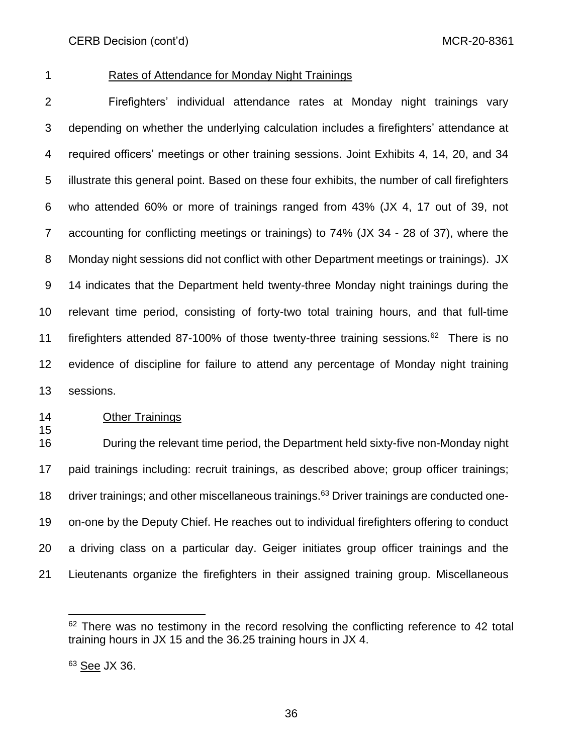### Rates of Attendance for Monday Night Trainings

 Firefighters' individual attendance rates at Monday night trainings vary depending on whether the underlying calculation includes a firefighters' attendance at required officers' meetings or other training sessions. Joint Exhibits 4, 14, 20, and 34 illustrate this general point. Based on these four exhibits, the number of call firefighters who attended 60% or more of trainings ranged from 43% (JX 4, 17 out of 39, not accounting for conflicting meetings or trainings) to 74% (JX 34 - 28 of 37), where the Monday night sessions did not conflict with other Department meetings or trainings). JX 14 indicates that the Department held twenty-three Monday night trainings during the relevant time period, consisting of forty-two total training hours, and that full-time 11 firefighters attended 87-100% of those twenty-three training sessions. There is no evidence of discipline for failure to attend any percentage of Monday night training sessions.

### **Other Trainings**

 During the relevant time period, the Department held sixty-five non-Monday night paid trainings including: recruit trainings, as described above; group officer trainings; 18 driver trainings; and other miscellaneous trainings. Driver trainings are conducted one- on-one by the Deputy Chief. He reaches out to individual firefighters offering to conduct a driving class on a particular day. Geiger initiates group officer trainings and the Lieutenants organize the firefighters in their assigned training group. Miscellaneous

 There was no testimony in the record resolving the conflicting reference to 42 total training hours in JX 15 and the 36.25 training hours in JX 4.

<sup>&</sup>lt;sup>63</sup> See JX 36.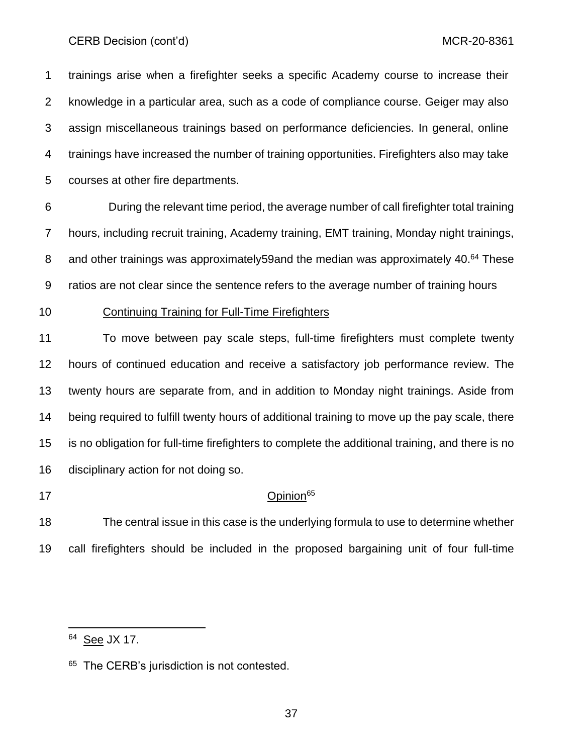trainings arise when a firefighter seeks a specific Academy course to increase their knowledge in a particular area, such as a code of compliance course. Geiger may also assign miscellaneous trainings based on performance deficiencies. In general, online trainings have increased the number of training opportunities. Firefighters also may take courses at other fire departments.

 During the relevant time period, the average number of call firefighter total training hours, including recruit training, Academy training, EMT training, Monday night trainings, 8 and other trainings was approximately59and the median was approximately 40.<sup>64</sup> These ratios are not clear since the sentence refers to the average number of training hours

Continuing Training for Full-Time Firefighters

 To move between pay scale steps, full-time firefighters must complete twenty hours of continued education and receive a satisfactory job performance review. The twenty hours are separate from, and in addition to Monday night trainings. Aside from being required to fulfill twenty hours of additional training to move up the pay scale, there is no obligation for full-time firefighters to complete the additional training, and there is no disciplinary action for not doing so.

### 17 Opinion<sup>65</sup>

 The central issue in this case is the underlying formula to use to determine whether call firefighters should be included in the proposed bargaining unit of four full-time

<sup>&</sup>lt;sup>64</sup> See JX 17.

<sup>&</sup>lt;sup>65</sup> The CERB's jurisdiction is not contested.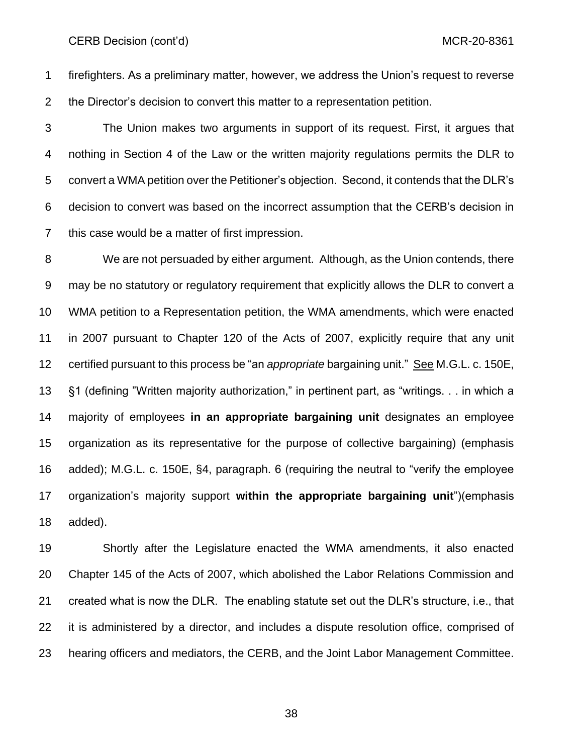firefighters. As a preliminary matter, however, we address the Union's request to reverse the Director's decision to convert this matter to a representation petition.

 The Union makes two arguments in support of its request. First, it argues that nothing in Section 4 of the Law or the written majority regulations permits the DLR to convert a WMA petition over the Petitioner's objection. Second, it contends that the DLR's decision to convert was based on the incorrect assumption that the CERB's decision in this case would be a matter of first impression.

 We are not persuaded by either argument. Although, as the Union contends, there may be no statutory or regulatory requirement that explicitly allows the DLR to convert a WMA petition to a Representation petition, the WMA amendments, which were enacted in 2007 pursuant to Chapter 120 of the Acts of 2007, explicitly require that any unit certified pursuant to this process be "an *appropriate* bargaining unit." See M.G.L. c. 150E, §1 (defining "Written majority authorization," in pertinent part, as "writings. . . in which a majority of employees **in an appropriate bargaining unit** designates an employee organization as its representative for the purpose of collective bargaining) (emphasis added); M.G.L. c. 150E, §4, paragraph. 6 (requiring the neutral to "verify the employee organization's majority support **within the appropriate bargaining unit**")(emphasis added).

 Shortly after the Legislature enacted the WMA amendments, it also enacted Chapter 145 of the Acts of 2007, which abolished the Labor Relations Commission and created what is now the DLR. The enabling statute set out the DLR's structure, i.e., that it is administered by a director, and includes a dispute resolution office, comprised of hearing officers and mediators, the CERB, and the Joint Labor Management Committee.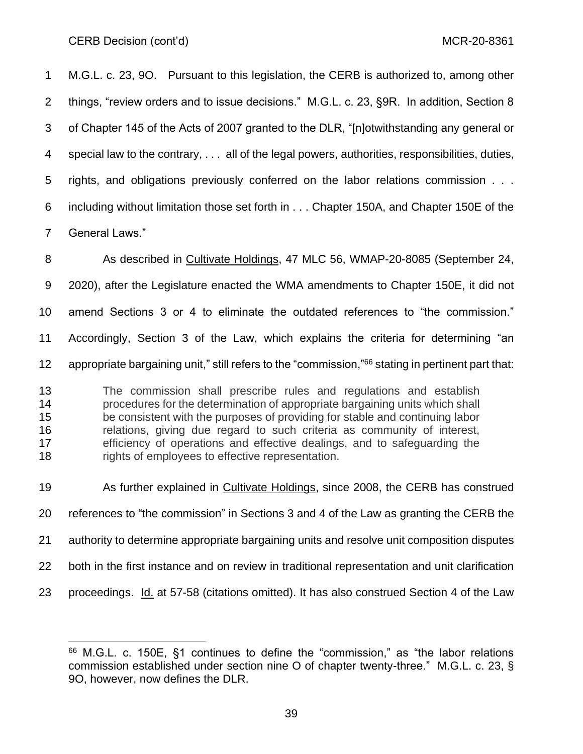M.G.L. c. 23, 9O. Pursuant to this legislation, the CERB is authorized to, among other things, "review orders and to issue decisions." M.G.L. c. 23, §9R. In addition, Section 8 of Chapter 145 of the Acts of 2007 granted to the DLR, "[n]otwithstanding any general or special law to the contrary, . . . all of the legal powers, authorities, responsibilities, duties, rights, and obligations previously conferred on the labor relations commission . . . including without limitation those set forth in . . . Chapter 150A, and Chapter 150E of the General Laws."

 As described in Cultivate Holdings, 47 MLC 56, WMAP-20-8085 (September 24, 2020), after the Legislature enacted the WMA amendments to Chapter 150E, it did not amend Sections 3 or 4 to eliminate the outdated references to "the commission." Accordingly, Section 3 of the Law, which explains the criteria for determining "an 12 appropriate bargaining unit," still refers to the "commission,"<sup>66</sup> stating in pertinent part that: The commission shall prescribe rules and regulations and establish procedures for the determination of appropriate bargaining units which shall be consistent with the purposes of providing for stable and continuing labor relations, giving due regard to such criteria as community of interest, efficiency of operations and effective dealings, and to safeguarding the

 As further explained in Cultivate Holdings, since 2008, the CERB has construed references to "the commission" in Sections 3 and 4 of the Law as granting the CERB the authority to determine appropriate bargaining units and resolve unit composition disputes both in the first instance and on review in traditional representation and unit clarification proceedings. Id. at 57-58 (citations omitted). It has also construed Section 4 of the Law

18 rights of employees to effective representation.

 M.G.L. c. 150E, §1 continues to define the "commission," as "the labor relations commission established under section nine O of chapter twenty-three." M.G.L. c. 23, § 9O, however, now defines the DLR.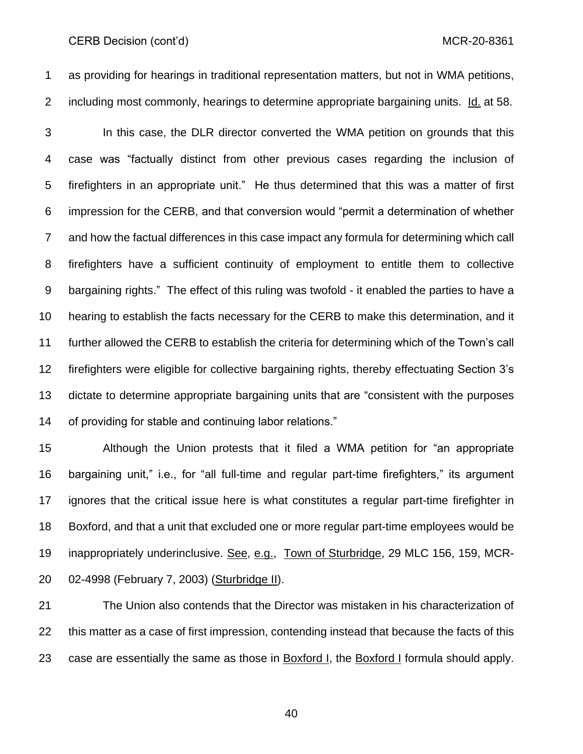CERB Decision (cont'd) and the control of the control of the control of the control of the control of the control of the control of the control of the control of the control of the control of the control of the control of

 as providing for hearings in traditional representation matters, but not in WMA petitions, including most commonly, hearings to determine appropriate bargaining units. Id. at 58.

 In this case, the DLR director converted the WMA petition on grounds that this case was "factually distinct from other previous cases regarding the inclusion of firefighters in an appropriate unit." He thus determined that this was a matter of first impression for the CERB, and that conversion would "permit a determination of whether and how the factual differences in this case impact any formula for determining which call firefighters have a sufficient continuity of employment to entitle them to collective bargaining rights." The effect of this ruling was twofold - it enabled the parties to have a hearing to establish the facts necessary for the CERB to make this determination, and it further allowed the CERB to establish the criteria for determining which of the Town's call firefighters were eligible for collective bargaining rights, thereby effectuating Section 3's dictate to determine appropriate bargaining units that are "consistent with the purposes of providing for stable and continuing labor relations."

 Although the Union protests that it filed a WMA petition for "an appropriate bargaining unit," i.e., for "all full-time and regular part-time firefighters," its argument ignores that the critical issue here is what constitutes a regular part-time firefighter in Boxford, and that a unit that excluded one or more regular part-time employees would be 19 inappropriately underinclusive. See, e.g., Town of Sturbridge, 29 MLC 156, 159, MCR-02-4998 (February 7, 2003) (Sturbridge II).

 The Union also contends that the Director was mistaken in his characterization of this matter as a case of first impression, contending instead that because the facts of this case are essentially the same as those in Boxford I, the Boxford I formula should apply.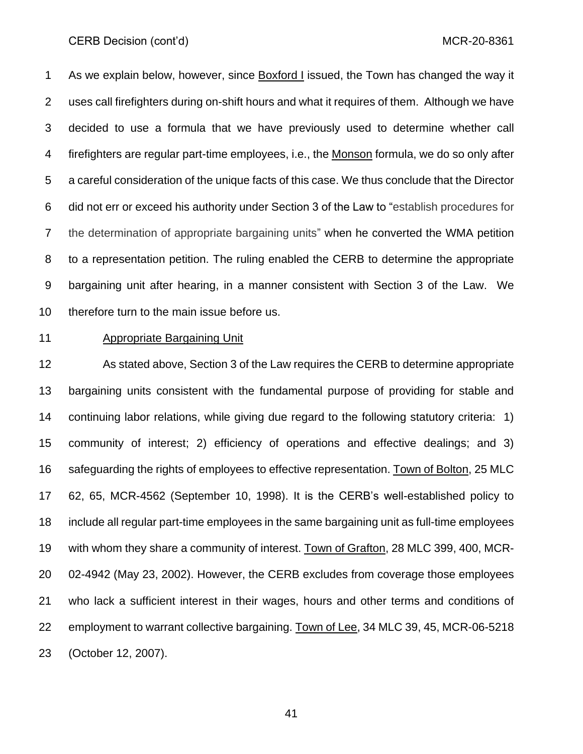As we explain below, however, since Boxford I issued, the Town has changed the way it uses call firefighters during on-shift hours and what it requires of them. Although we have decided to use a formula that we have previously used to determine whether call firefighters are regular part-time employees, i.e., the Monson formula, we do so only after a careful consideration of the unique facts of this case. We thus conclude that the Director did not err or exceed his authority under Section 3 of the Law to "establish procedures for the determination of appropriate bargaining units" when he converted the WMA petition to a representation petition. The ruling enabled the CERB to determine the appropriate bargaining unit after hearing, in a manner consistent with Section 3 of the Law. We therefore turn to the main issue before us.

#### Appropriate Bargaining Unit

 As stated above, Section 3 of the Law requires the CERB to determine appropriate bargaining units consistent with the fundamental purpose of providing for stable and continuing labor relations, while giving due regard to the following statutory criteria: 1) community of interest; 2) efficiency of operations and effective dealings; and 3) safeguarding the rights of employees to effective representation. Town of Bolton, 25 MLC 62, 65, MCR-4562 (September 10, 1998). It is the CERB's well-established policy to include all regular part-time employees in the same bargaining unit as full-time employees with whom they share a community of interest. Town of Grafton, 28 MLC 399, 400, MCR- 02-4942 (May 23, 2002). However, the CERB excludes from coverage those employees who lack a sufficient interest in their wages, hours and other terms and conditions of employment to warrant collective bargaining. Town of Lee, 34 MLC 39, 45, MCR-06-5218 (October 12, 2007).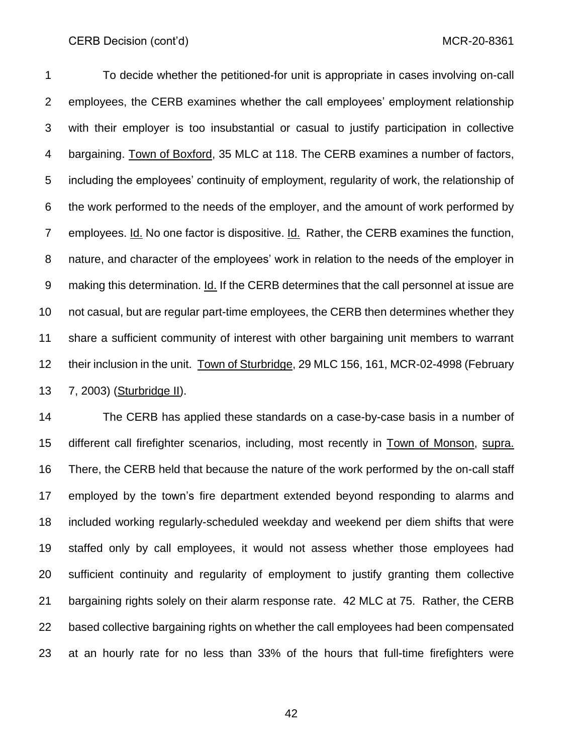To decide whether the petitioned-for unit is appropriate in cases involving on-call employees, the CERB examines whether the call employees' employment relationship with their employer is too insubstantial or casual to justify participation in collective bargaining. Town of Boxford, 35 MLC at 118. The CERB examines a number of factors, including the employees' continuity of employment, regularity of work, the relationship of the work performed to the needs of the employer, and the amount of work performed by employees. Id. No one factor is dispositive. Id. Rather, the CERB examines the function, nature, and character of the employees' work in relation to the needs of the employer in making this determination. Id. If the CERB determines that the call personnel at issue are not casual, but are regular part-time employees, the CERB then determines whether they share a sufficient community of interest with other bargaining unit members to warrant their inclusion in the unit. Town of Sturbridge, 29 MLC 156, 161, MCR-02-4998 (February 7, 2003) (Sturbridge II).

 The CERB has applied these standards on a case-by-case basis in a number of different call firefighter scenarios, including, most recently in Town of Monson, supra. There, the CERB held that because the nature of the work performed by the on-call staff employed by the town's fire department extended beyond responding to alarms and included working regularly-scheduled weekday and weekend per diem shifts that were staffed only by call employees, it would not assess whether those employees had sufficient continuity and regularity of employment to justify granting them collective bargaining rights solely on their alarm response rate. 42 MLC at 75. Rather, the CERB based collective bargaining rights on whether the call employees had been compensated at an hourly rate for no less than 33% of the hours that full-time firefighters were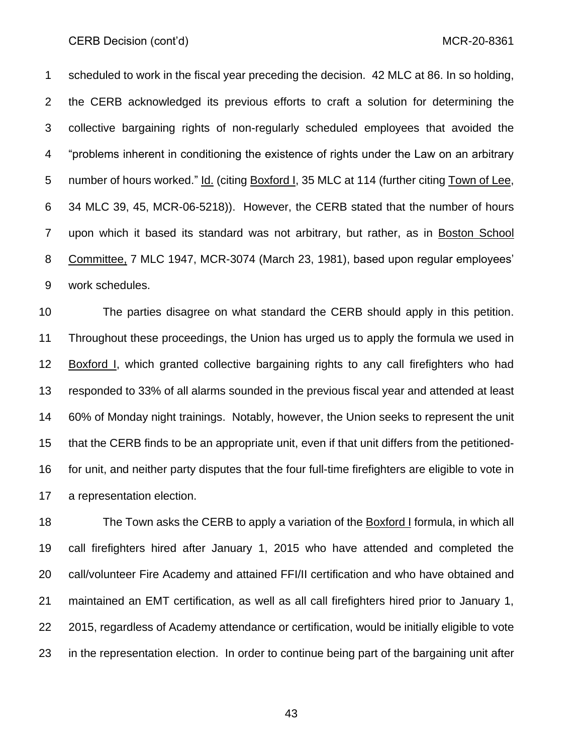scheduled to work in the fiscal year preceding the decision. 42 MLC at 86. In so holding, the CERB acknowledged its previous efforts to craft a solution for determining the collective bargaining rights of non-regularly scheduled employees that avoided the "problems inherent in conditioning the existence of rights under the Law on an arbitrary number of hours worked." Id. (citing Boxford I, 35 MLC at 114 (further citing Town of Lee, 34 MLC 39, 45, MCR-06-5218)). However, the CERB stated that the number of hours upon which it based its standard was not arbitrary, but rather, as in Boston School Committee, 7 MLC 1947, MCR-3074 (March 23, 1981), based upon regular employees' work schedules.

 The parties disagree on what standard the CERB should apply in this petition. Throughout these proceedings, the Union has urged us to apply the formula we used in Boxford I, which granted collective bargaining rights to any call firefighters who had responded to 33% of all alarms sounded in the previous fiscal year and attended at least 60% of Monday night trainings. Notably, however, the Union seeks to represent the unit that the CERB finds to be an appropriate unit, even if that unit differs from the petitioned- for unit, and neither party disputes that the four full-time firefighters are eligible to vote in a representation election.

 The Town asks the CERB to apply a variation of the Boxford I formula, in which all call firefighters hired after January 1, 2015 who have attended and completed the call/volunteer Fire Academy and attained FFI/II certification and who have obtained and maintained an EMT certification, as well as all call firefighters hired prior to January 1, 2015, regardless of Academy attendance or certification, would be initially eligible to vote in the representation election. In order to continue being part of the bargaining unit after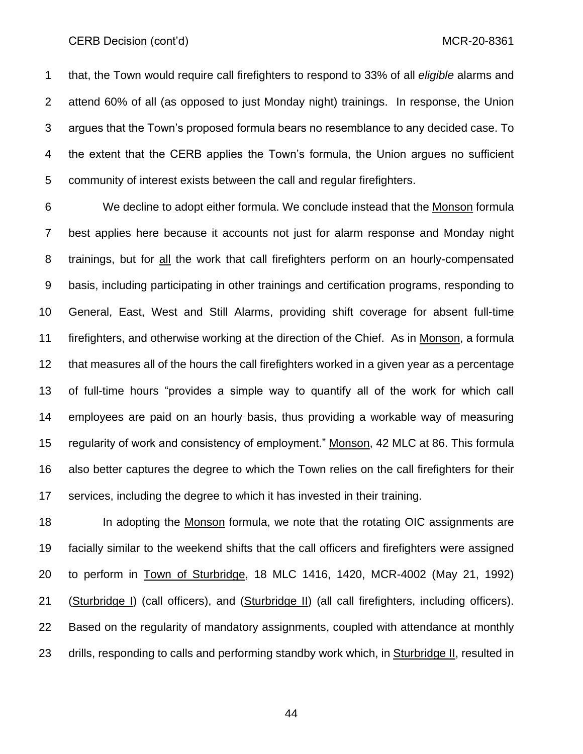#### CERB Decision (cont'd) and the control of the control of the control of the control of the control of the control of the control of the control of the control of the control of the control of the control of the control of

 that, the Town would require call firefighters to respond to 33% of all *eligible* alarms and attend 60% of all (as opposed to just Monday night) trainings. In response, the Union argues that the Town's proposed formula bears no resemblance to any decided case. To the extent that the CERB applies the Town's formula, the Union argues no sufficient community of interest exists between the call and regular firefighters.

 We decline to adopt either formula. We conclude instead that the Monson formula best applies here because it accounts not just for alarm response and Monday night trainings, but for all the work that call firefighters perform on an hourly-compensated basis, including participating in other trainings and certification programs, responding to General, East, West and Still Alarms, providing shift coverage for absent full-time firefighters, and otherwise working at the direction of the Chief. As in Monson, a formula that measures all of the hours the call firefighters worked in a given year as a percentage of full-time hours "provides a simple way to quantify all of the work for which call employees are paid on an hourly basis, thus providing a workable way of measuring 15 regularity of work and consistency of employment." Monson, 42 MLC at 86. This formula also better captures the degree to which the Town relies on the call firefighters for their services, including the degree to which it has invested in their training.

18 In adopting the Monson formula, we note that the rotating OIC assignments are facially similar to the weekend shifts that the call officers and firefighters were assigned to perform in Town of Sturbridge, 18 MLC 1416, 1420, MCR-4002 (May 21, 1992) 21 (Sturbridge I) (call officers), and (Sturbridge II) (all call firefighters, including officers). Based on the regularity of mandatory assignments, coupled with attendance at monthly drills, responding to calls and performing standby work which, in Sturbridge II, resulted in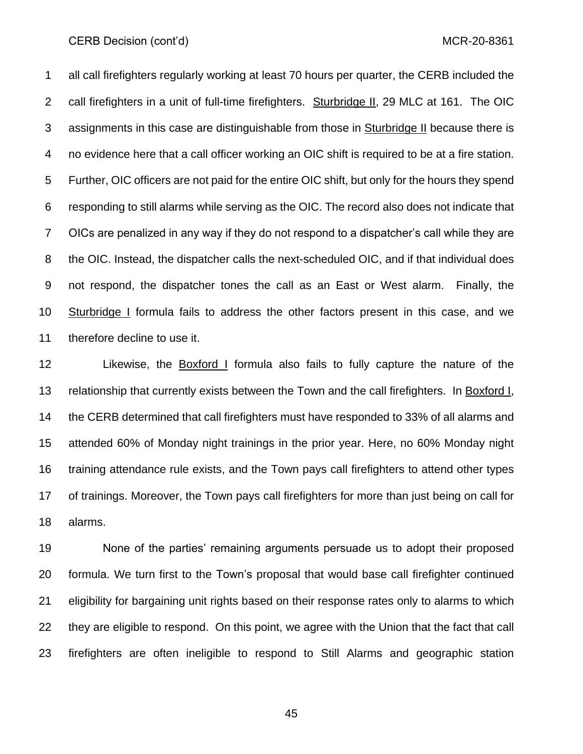all call firefighters regularly working at least 70 hours per quarter, the CERB included the call firefighters in a unit of full-time firefighters. Sturbridge II, 29 MLC at 161. The OIC assignments in this case are distinguishable from those in Sturbridge II because there is no evidence here that a call officer working an OIC shift is required to be at a fire station. Further, OIC officers are not paid for the entire OIC shift, but only for the hours they spend responding to still alarms while serving as the OIC. The record also does not indicate that OICs are penalized in any way if they do not respond to a dispatcher's call while they are the OIC. Instead, the dispatcher calls the next-scheduled OIC, and if that individual does not respond, the dispatcher tones the call as an East or West alarm. Finally, the Sturbridge I formula fails to address the other factors present in this case, and we therefore decline to use it.

 Likewise, the Boxford I formula also fails to fully capture the nature of the relationship that currently exists between the Town and the call firefighters. In Boxford I, the CERB determined that call firefighters must have responded to 33% of all alarms and attended 60% of Monday night trainings in the prior year. Here, no 60% Monday night training attendance rule exists, and the Town pays call firefighters to attend other types of trainings. Moreover, the Town pays call firefighters for more than just being on call for alarms.

 None of the parties' remaining arguments persuade us to adopt their proposed formula. We turn first to the Town's proposal that would base call firefighter continued eligibility for bargaining unit rights based on their response rates only to alarms to which they are eligible to respond. On this point, we agree with the Union that the fact that call firefighters are often ineligible to respond to Still Alarms and geographic station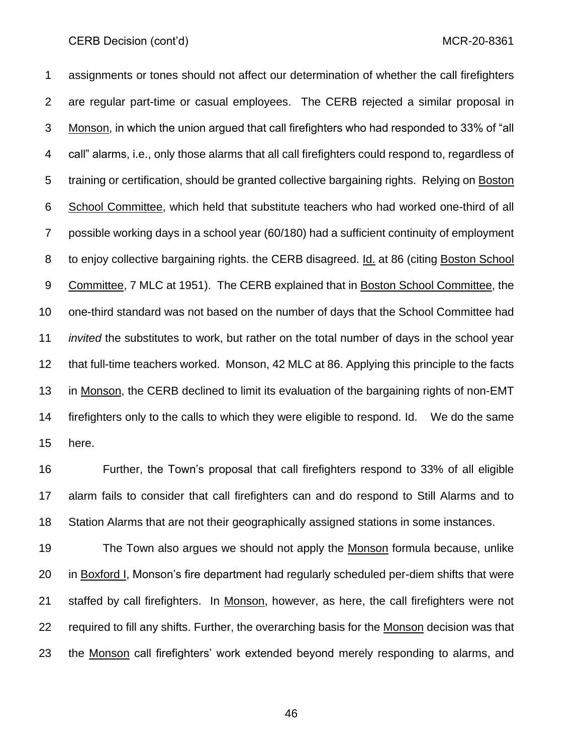assignments or tones should not affect our determination of whether the call firefighters are regular part-time or casual employees. The CERB rejected a similar proposal in Monson, in which the union argued that call firefighters who had responded to 33% of "all call" alarms, i.e., only those alarms that all call firefighters could respond to, regardless of training or certification, should be granted collective bargaining rights. Relying on Boston School Committee, which held that substitute teachers who had worked one-third of all possible working days in a school year (60/180) had a sufficient continuity of employment to enjoy collective bargaining rights. the CERB disagreed. Id. at 86 (citing Boston School Committee, 7 MLC at 1951). The CERB explained that in Boston School Committee, the one-third standard was not based on the number of days that the School Committee had *invited* the substitutes to work, but rather on the total number of days in the school year that full-time teachers worked. Monson, 42 MLC at 86. Applying this principle to the facts in Monson, the CERB declined to limit its evaluation of the bargaining rights of non-EMT firefighters only to the calls to which they were eligible to respond. Id. We do the same here.

 Further, the Town's proposal that call firefighters respond to 33% of all eligible alarm fails to consider that call firefighters can and do respond to Still Alarms and to Station Alarms that are not their geographically assigned stations in some instances.

 The Town also argues we should not apply the Monson formula because, unlike 20 in Boxford I, Monson's fire department had regularly scheduled per-diem shifts that were 21 staffed by call firefighters. In Monson, however, as here, the call firefighters were not required to fill any shifts. Further, the overarching basis for the Monson decision was that the Monson call firefighters' work extended beyond merely responding to alarms, and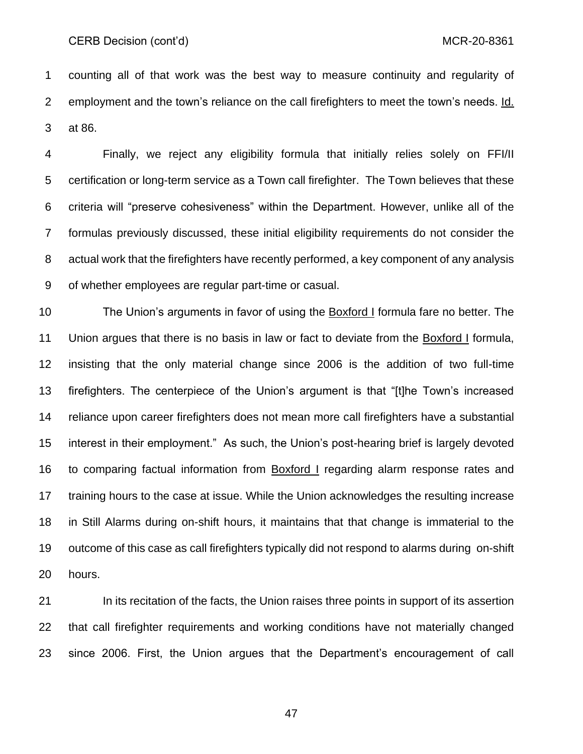counting all of that work was the best way to measure continuity and regularity of employment and the town's reliance on the call firefighters to meet the town's needs. Id. at 86.

 Finally, we reject any eligibility formula that initially relies solely on FFI/II certification or long-term service as a Town call firefighter. The Town believes that these criteria will "preserve cohesiveness" within the Department. However, unlike all of the formulas previously discussed, these initial eligibility requirements do not consider the actual work that the firefighters have recently performed, a key component of any analysis of whether employees are regular part-time or casual.

 The Union's arguments in favor of using the Boxford I formula fare no better. The Union argues that there is no basis in law or fact to deviate from the Boxford I formula, insisting that the only material change since 2006 is the addition of two full-time firefighters. The centerpiece of the Union's argument is that "[t]he Town's increased reliance upon career firefighters does not mean more call firefighters have a substantial interest in their employment." As such, the Union's post-hearing brief is largely devoted to comparing factual information from Boxford I regarding alarm response rates and training hours to the case at issue. While the Union acknowledges the resulting increase in Still Alarms during on-shift hours, it maintains that that change is immaterial to the outcome of this case as call firefighters typically did not respond to alarms during on-shift hours.

21 In its recitation of the facts, the Union raises three points in support of its assertion that call firefighter requirements and working conditions have not materially changed since 2006. First, the Union argues that the Department's encouragement of call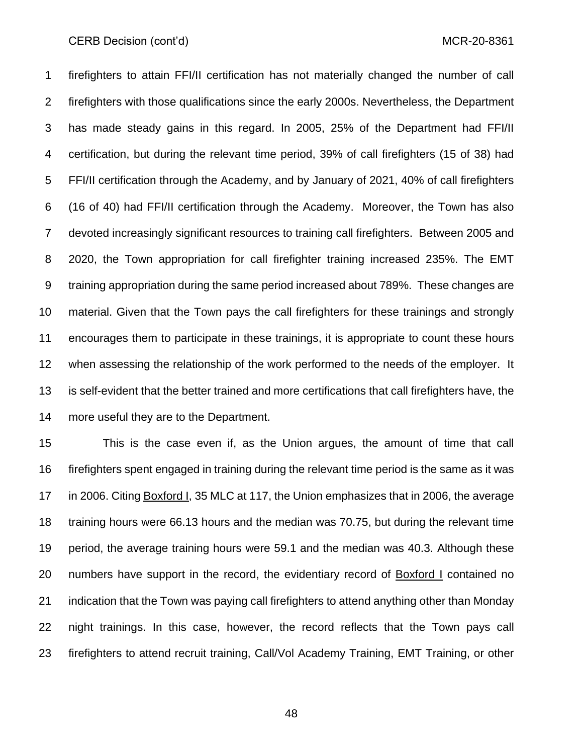#### CERB Decision (cont'd) and the control of the control of the control of the control of the control of the control of the control of the control of the control of the control of the control of the control of the control of

 firefighters to attain FFI/II certification has not materially changed the number of call firefighters with those qualifications since the early 2000s. Nevertheless, the Department has made steady gains in this regard. In 2005, 25% of the Department had FFI/II certification, but during the relevant time period, 39% of call firefighters (15 of 38) had FFI/II certification through the Academy, and by January of 2021, 40% of call firefighters (16 of 40) had FFI/II certification through the Academy. Moreover, the Town has also devoted increasingly significant resources to training call firefighters. Between 2005 and 2020, the Town appropriation for call firefighter training increased 235%. The EMT training appropriation during the same period increased about 789%. These changes are material. Given that the Town pays the call firefighters for these trainings and strongly encourages them to participate in these trainings, it is appropriate to count these hours when assessing the relationship of the work performed to the needs of the employer. It is self-evident that the better trained and more certifications that call firefighters have, the more useful they are to the Department.

 This is the case even if, as the Union argues, the amount of time that call firefighters spent engaged in training during the relevant time period is the same as it was in 2006. Citing Boxford I, 35 MLC at 117, the Union emphasizes that in 2006, the average training hours were 66.13 hours and the median was 70.75, but during the relevant time period, the average training hours were 59.1 and the median was 40.3. Although these 20 numbers have support in the record, the evidentiary record of **Boxford I** contained no indication that the Town was paying call firefighters to attend anything other than Monday night trainings. In this case, however, the record reflects that the Town pays call firefighters to attend recruit training, Call/Vol Academy Training, EMT Training, or other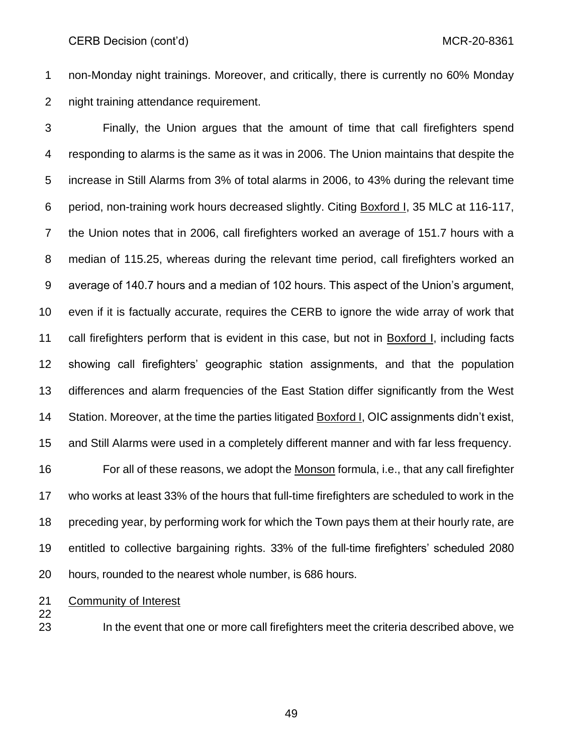CERB Decision (cont'd) and the control of the control of the control of the control of the control of the control of the control of the control of the control of the control of the control of the control of the control of

 non-Monday night trainings. Moreover, and critically, there is currently no 60% Monday night training attendance requirement.

 Finally, the Union argues that the amount of time that call firefighters spend responding to alarms is the same as it was in 2006. The Union maintains that despite the increase in Still Alarms from 3% of total alarms in 2006, to 43% during the relevant time period, non-training work hours decreased slightly. Citing Boxford I, 35 MLC at 116-117, the Union notes that in 2006, call firefighters worked an average of 151.7 hours with a median of 115.25, whereas during the relevant time period, call firefighters worked an average of 140.7 hours and a median of 102 hours. This aspect of the Union's argument, even if it is factually accurate, requires the CERB to ignore the wide array of work that call firefighters perform that is evident in this case, but not in Boxford I, including facts showing call firefighters' geographic station assignments, and that the population differences and alarm frequencies of the East Station differ significantly from the West Station. Moreover, at the time the parties litigated Boxford I, OIC assignments didn't exist, and Still Alarms were used in a completely different manner and with far less frequency.

 For all of these reasons, we adopt the Monson formula, i.e., that any call firefighter who works at least 33% of the hours that full-time firefighters are scheduled to work in the preceding year, by performing work for which the Town pays them at their hourly rate, are entitled to collective bargaining rights. 33% of the full-time firefighters' scheduled 2080 hours, rounded to the nearest whole number, is 686 hours.

21 Community of Interest

In the event that one or more call firefighters meet the criteria described above, we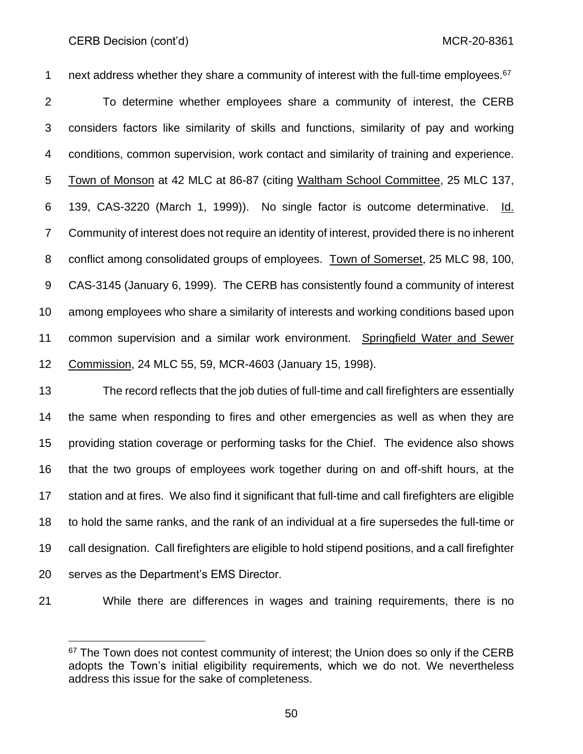next address whether they share a community of interest with the full-time employees.<sup>67</sup> To determine whether employees share a community of interest, the CERB considers factors like similarity of skills and functions, similarity of pay and working conditions, common supervision, work contact and similarity of training and experience. Town of Monson at 42 MLC at 86-87 (citing Waltham School Committee, 25 MLC 137, 139, CAS-3220 (March 1, 1999)). No single factor is outcome determinative. Id. Community of interest does not require an identity of interest, provided there is no inherent conflict among consolidated groups of employees. Town of Somerset, 25 MLC 98, 100, CAS-3145 (January 6, 1999). The CERB has consistently found a community of interest among employees who share a similarity of interests and working conditions based upon common supervision and a similar work environment. Springfield Water and Sewer Commission, 24 MLC 55, 59, MCR-4603 (January 15, 1998).

 The record reflects that the job duties of full-time and call firefighters are essentially the same when responding to fires and other emergencies as well as when they are providing station coverage or performing tasks for the Chief. The evidence also shows that the two groups of employees work together during on and off-shift hours, at the station and at fires. We also find it significant that full-time and call firefighters are eligible to hold the same ranks, and the rank of an individual at a fire supersedes the full-time or call designation. Call firefighters are eligible to hold stipend positions, and a call firefighter serves as the Department's EMS Director.

While there are differences in wages and training requirements, there is no

 The Town does not contest community of interest; the Union does so only if the CERB adopts the Town's initial eligibility requirements, which we do not. We nevertheless address this issue for the sake of completeness.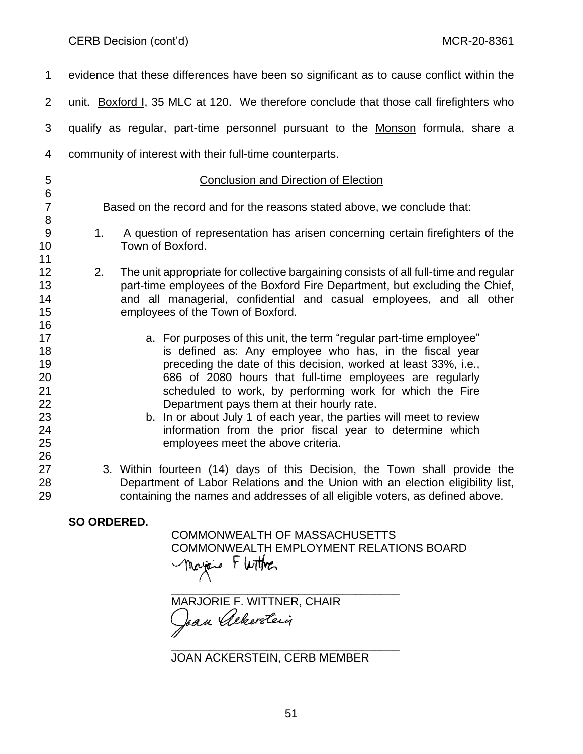| $\mathbf{1}$                                                   | evidence that these differences have been so significant as to cause conflict within the                                                                                                                                                                                                                                                                                                                                                                                                                                                          |
|----------------------------------------------------------------|---------------------------------------------------------------------------------------------------------------------------------------------------------------------------------------------------------------------------------------------------------------------------------------------------------------------------------------------------------------------------------------------------------------------------------------------------------------------------------------------------------------------------------------------------|
| $\overline{2}$                                                 | unit. Boxford I, 35 MLC at 120. We therefore conclude that those call firefighters who                                                                                                                                                                                                                                                                                                                                                                                                                                                            |
| 3                                                              | qualify as regular, part-time personnel pursuant to the Monson formula, share a                                                                                                                                                                                                                                                                                                                                                                                                                                                                   |
| 4                                                              | community of interest with their full-time counterparts.                                                                                                                                                                                                                                                                                                                                                                                                                                                                                          |
| 5<br>6                                                         | <b>Conclusion and Direction of Election</b>                                                                                                                                                                                                                                                                                                                                                                                                                                                                                                       |
| $\overline{7}$<br>8                                            | Based on the record and for the reasons stated above, we conclude that:                                                                                                                                                                                                                                                                                                                                                                                                                                                                           |
| 9<br>10                                                        | A question of representation has arisen concerning certain firefighters of the<br>1.<br>Town of Boxford.                                                                                                                                                                                                                                                                                                                                                                                                                                          |
| 11<br>12<br>13<br>14<br>15                                     | 2.<br>The unit appropriate for collective bargaining consists of all full-time and regular<br>part-time employees of the Boxford Fire Department, but excluding the Chief,<br>and all managerial, confidential and casual employees, and all other<br>employees of the Town of Boxford.                                                                                                                                                                                                                                                           |
| 16<br>17<br>18<br>19<br>20<br>21<br>22<br>23<br>24<br>25<br>26 | a. For purposes of this unit, the term "regular part-time employee"<br>is defined as: Any employee who has, in the fiscal year<br>preceding the date of this decision, worked at least 33%, i.e.,<br>686 of 2080 hours that full-time employees are regularly<br>scheduled to work, by performing work for which the Fire<br>Department pays them at their hourly rate.<br>b. In or about July 1 of each year, the parties will meet to review<br>information from the prior fiscal year to determine which<br>employees meet the above criteria. |
| 27<br>28<br>29                                                 | 3. Within fourteen (14) days of this Decision, the Town shall provide the<br>Department of Labor Relations and the Union with an election eligibility list,<br>containing the names and addresses of all eligible voters, as defined above.                                                                                                                                                                                                                                                                                                       |

**SO ORDERED.**

COMMONWEALTH OF MASSACHUSETTS COMMONWEALTH EMPLOYMENT RELATIONS BOARD<br>
Thereis F With F

\_\_\_\_\_\_\_\_\_\_\_\_\_\_\_\_\_\_\_\_\_\_\_\_\_\_\_\_\_\_\_\_\_\_\_\_ MARJORIE F. WITTNER, CHAIR

JOAN ACKERSTEIN, CERB MEMBER

\_\_\_\_\_\_\_\_\_\_\_\_\_\_\_\_\_\_\_\_\_\_\_\_\_\_\_\_\_\_\_\_\_\_\_\_